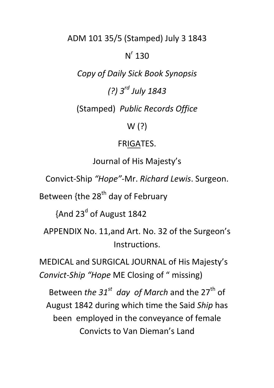ADM 101 35/5 (Stamped) July 3 1843

# $N^r$  130

*Copy of Daily Sick Book Synopsis* 

*(?) 3rd July 1843* 

(Stamped) *Public Records Office*

W (?)

## FRIGATES.

Journal of His Majesty's

Convict-Ship *"Hope"-*Mr. *Richard Lewis*. Surgeon.

Between {the 28<sup>th</sup> day of February

 $\{$ And 23<sup>d</sup> of August 1842

APPENDIX No. 11,and Art. No. 32 of the Surgeon's Instructions.

MEDICAL and SURGICAL JOURNAL of His Majesty's *Convict-Ship "Hope* ME Closing of " missing)

Between *the 31<sup>st</sup>* day of March and the 27<sup>th</sup> of August 1842 during which time the Said *Ship* has been employed in the conveyance of female Convicts to Van Dieman's Land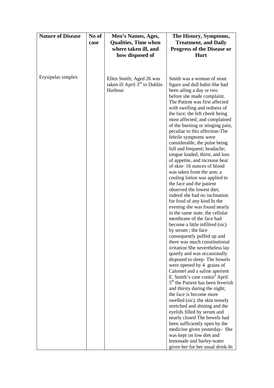| <b>Nature of Disease</b> | No of | Men's Names, Ages,              | The History, Symptoms,                                                                     |
|--------------------------|-------|---------------------------------|--------------------------------------------------------------------------------------------|
|                          | case  | <b>Qualities, Time when</b>     | <b>Treatment, and Daily</b>                                                                |
|                          |       | where taken ill, and            | <b>Progress of the Disease or</b>                                                          |
|                          |       | how disposed of                 | <b>Hurt</b>                                                                                |
|                          |       |                                 |                                                                                            |
|                          |       |                                 |                                                                                            |
|                          |       |                                 |                                                                                            |
| Erysipelas simplex       |       | Ellen Smith; Aged 26 was        | Smith was a woman of stout                                                                 |
|                          |       | taken ill April $3rd$ in Dublin | figure and dull habit-She had                                                              |
|                          |       | Harbour                         | been ailing a day or two                                                                   |
|                          |       |                                 | before she made complaint.                                                                 |
|                          |       |                                 | The Patient was first affected                                                             |
|                          |       |                                 | with swelling and redness of                                                               |
|                          |       |                                 | the face; the left cheek being                                                             |
|                          |       |                                 | most affected; and complained                                                              |
|                          |       |                                 | of the burning or stinging pain,                                                           |
|                          |       |                                 | peculiar to this affection-The                                                             |
|                          |       |                                 | febrile symptoms were<br>considerable, the pulse being                                     |
|                          |       |                                 | full and frequent; headache;                                                               |
|                          |       |                                 | tongue loaded, thirst, and loss                                                            |
|                          |       |                                 | of appetite, and increase heat                                                             |
|                          |       |                                 | of skin-16 ounces of blood                                                                 |
|                          |       |                                 | was taken from the arm; a                                                                  |
|                          |       |                                 | cooling lotion was applied to                                                              |
|                          |       |                                 | the face and the patient                                                                   |
|                          |       |                                 | observed the lowest diet;                                                                  |
|                          |       |                                 | indeed she had no inclination                                                              |
|                          |       |                                 | for food of any kind In the                                                                |
|                          |       |                                 | evening she was found nearly<br>in the same state, the cellular                            |
|                          |       |                                 | membrane of the face had                                                                   |
|                          |       |                                 | become a little infiltred (sic)                                                            |
|                          |       |                                 | by serum; the face                                                                         |
|                          |       |                                 | consequently puffed up and                                                                 |
|                          |       |                                 | there was much constitutional                                                              |
|                          |       |                                 | irritation She nevertheless lay                                                            |
|                          |       |                                 | quietly and was occasionally                                                               |
|                          |       |                                 | disposed to sleep-The bowels                                                               |
|                          |       |                                 | were opened by 4 grains of                                                                 |
|                          |       |                                 | Calomel and a saline aperient                                                              |
|                          |       |                                 | E. Smith's case contin <sup>d</sup> April<br>5 <sup>th</sup> the Patient has been feverish |
|                          |       |                                 | and thirsty during the night;                                                              |
|                          |       |                                 | the face is become more                                                                    |
|                          |       |                                 | swelled (sic), the skin tensely                                                            |
|                          |       |                                 | stretched and shining and the                                                              |
|                          |       |                                 | eyelids filled by serum and                                                                |
|                          |       |                                 | nearly closed The bowels had                                                               |
|                          |       |                                 | been sufficiently open by the                                                              |
|                          |       |                                 | medicine given yesterday- She                                                              |
|                          |       |                                 | was kept on low diet and                                                                   |
|                          |       |                                 | lemonade and barley-water                                                                  |
|                          |       |                                 | given her for her usual drink-In                                                           |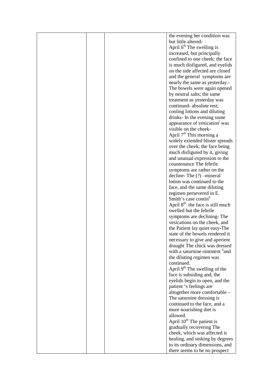|  | the evening her condition was             |
|--|-------------------------------------------|
|  | but little altered-                       |
|  | April 6 <sup>th</sup> The swelling is     |
|  | increased, but principally                |
|  | confined to one cheek; the face           |
|  |                                           |
|  | is much disfigured, and eyelids           |
|  | on the side affected are closed           |
|  | and the general symptoms are              |
|  | nearly the same as yesterday.-            |
|  | The bowels were again opened              |
|  |                                           |
|  | by neutral salts; the same                |
|  | treatment as yesterday was                |
|  | continued-absolute rest;                  |
|  | cooling lotions and diluting              |
|  | drinks- In the evening some               |
|  | appearance of vesication was              |
|  |                                           |
|  | visible on the cheek-                     |
|  | April 7 <sup>th</sup> This morning a      |
|  | widely extended blister spreads           |
|  | over the cheek; the face being            |
|  | much disfigured by it, giving             |
|  |                                           |
|  | and unusual expression to the             |
|  | countenance The febrile                   |
|  | symptoms are rather on the                |
|  | decline-The (?) -mineral                  |
|  | lotion was continued to the               |
|  | face, and the same diluting               |
|  |                                           |
|  | regimen persevered in E.                  |
|  | Smith's case contin <sup>d</sup>          |
|  | April $8th$ the face is still much        |
|  | swelled but the febrile                   |
|  | symptoms are declining-The                |
|  | vesications on the cheek, and             |
|  |                                           |
|  | the Patient lay quiet easy-The            |
|  | state of the bowels rendered it           |
|  | necessary to give and aperient            |
|  | draught The chick was dressed             |
|  | with a saturnine ointment "and"           |
|  | the diluting regimen was                  |
|  | continued.                                |
|  |                                           |
|  | April 9 <sup>th</sup> The swelling of the |
|  | face is subsiding and, the                |
|  | eyelids begin to open, and the            |
|  | patient 's feelings are                   |
|  | altogether more comfortable -             |
|  | The saturnine dressing is                 |
|  |                                           |
|  | continued to the face, and a              |
|  | more nourishing diet is                   |
|  | allowed.                                  |
|  | April 10 <sup>th</sup> The patient is     |
|  | gradually recovering The                  |
|  |                                           |
|  | cheek, which was affected is              |
|  | healing, and sinking by degrees           |
|  | to its ordinary dimensions, and           |
|  | there seems to be no prospect             |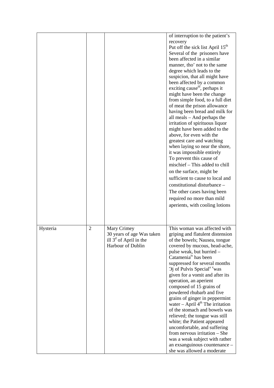|          |                |                                                                                                  | of interruption to the patient's<br>recovery<br>Put off the sick list April 15 <sup>th</sup><br>Several of the prisoners have<br>been affected in a similar<br>manner, tho' not to the same<br>degree which leads to the<br>suspicion, that all might have<br>been affected by a common<br>exciting cause <sup>111</sup> , perhaps it<br>might have been the change<br>from simple food, to a full diet<br>of meat the prison allowance<br>having been bread and milk for<br>all meals – And perhaps the<br>irritation of spirituous liquor<br>might have been added to the<br>above, for even with the<br>greatest care and watching<br>when laying so near the shore,<br>it was impossible entirely<br>To prevent this cause of<br>mischief – This added to chill<br>on the surface, might be<br>sufficient to cause to local and<br>constitutional disturbance -<br>The other cases having been<br>required no more than mild<br>aperients, with cooling lotions |
|----------|----------------|--------------------------------------------------------------------------------------------------|---------------------------------------------------------------------------------------------------------------------------------------------------------------------------------------------------------------------------------------------------------------------------------------------------------------------------------------------------------------------------------------------------------------------------------------------------------------------------------------------------------------------------------------------------------------------------------------------------------------------------------------------------------------------------------------------------------------------------------------------------------------------------------------------------------------------------------------------------------------------------------------------------------------------------------------------------------------------|
| Hysteria | $\overline{2}$ | Mary Crimey<br>30 years of age Was taken<br>ill $3a$ of April in the<br><b>Harbour of Dublin</b> | This woman was affected with<br>griping and flatulent distension<br>of the bowels; Nausea, tongue<br>covered by mucous, head-ache,<br>pulse weak, but hurried -<br>Catamenia <sup>iv</sup> has been<br>suppressed for several months<br>$\Im$ j of Pulvis Special <sup>a v</sup> was<br>given for a vomit and after its<br>operation, an aperient<br>composed of 15 grains of<br>powdered rhubarb and five<br>grains of ginger in peppermint<br>water $-$ April $4th$ The irritation<br>of the stomach and bowels was<br>relieved; the tongue was still<br>white; the Patient appeared<br>uncomfortable, and suffering<br>from nervous irritation – She<br>was a weak subject with rather<br>an exsanguinous countenance -<br>she was allowed a moderate                                                                                                                                                                                                            |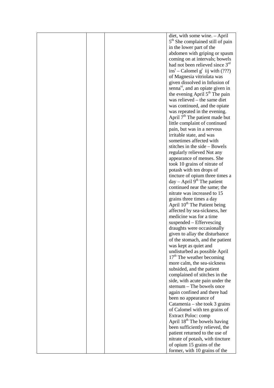|  | diet, with some wine. - April                |
|--|----------------------------------------------|
|  | 5 <sup>th</sup> She complained still of pain |
|  | in the lower part of the                     |
|  | abdomen with griping or spasm                |
|  | coming on at intervals; bowels               |
|  | had not been relieved since $3rd$            |
|  | $inst$ – Calomel $gr$ iij with (???)         |
|  | of Magnesia vitriolata was                   |
|  |                                              |
|  | given dissolved in Infusion of               |
|  | senna <sup>vi</sup> , and an opiate given in |
|  | the evening April 5 <sup>th</sup> The pain   |
|  | was relieved – the same diet                 |
|  | was continued, and the opiate                |
|  | was repeated in the evening.                 |
|  | April $7th$ The patient made but             |
|  | little complaint of continued                |
|  | pain, but was in a nervous                   |
|  | irritable state, and was                     |
|  | sometimes affected with                      |
|  | stitches in the side - Bowels                |
|  | regularly relieved Not any                   |
|  | appearance of menses. She                    |
|  | took 10 grains of nitrate of                 |
|  | potash with ten drops of                     |
|  | tincture of opium three times a              |
|  | $day - April 9th$ The patient                |
|  | continued near the same; the                 |
|  | nitrate was increased to 15                  |
|  | grains three times a day                     |
|  | April 10 <sup>th</sup> The Patient being     |
|  | affected by sea-sickness, her                |
|  | medicine was for a time                      |
|  | suspended – Effervescing                     |
|  | draughts were occasionally                   |
|  | given to allay the disturbance               |
|  | of the stomach, and the patient              |
|  | was kept as quiet and                        |
|  | undisturbed as possible April                |
|  | $17th$ The weather becoming                  |
|  | more calm, the sea-sickness                  |
|  | subsided, and the patient                    |
|  | complained of stitches in the                |
|  | side, with acute pain under the              |
|  | sternum - The bowels once                    |
|  | again confined and there had                 |
|  | been no appearance of                        |
|  | Catamenia – she took 3 grains                |
|  | of Calomel with ten grains of                |
|  | <b>Extract Poloc: comp</b>                   |
|  | April 18 <sup>th</sup> The bowels having     |
|  | been sufficiently relieved, the              |
|  | patient returned to the use of               |
|  | nitrate of potash, with tincture             |
|  | of opium 15 grains of the                    |
|  | former, with 10 grains of the                |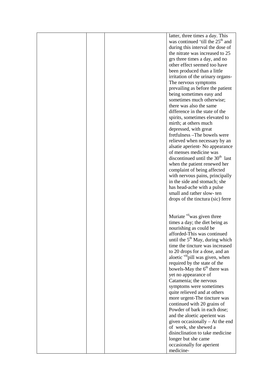|  | latter, three times a day. This              |
|--|----------------------------------------------|
|  | was continued 'till the 25 <sup>th</sup> and |
|  |                                              |
|  | during this interval the dose of             |
|  | the nitrate was increased to 25              |
|  | grs three times a day, and no                |
|  | other effect seemed too have                 |
|  |                                              |
|  | been produced than a little                  |
|  | irritation of the urinary organs-            |
|  | The nervous symptoms                         |
|  | prevailing as before the patient             |
|  |                                              |
|  | being sometimes easy and                     |
|  | sometimes much otherwise;                    |
|  | there was also the same                      |
|  | difference in the state of the               |
|  |                                              |
|  | spirits, sometimes elevated to               |
|  | mirth; at others much                        |
|  | depressed, with great                        |
|  | fretfulness - The bowels were                |
|  | relieved when necessary by an                |
|  |                                              |
|  | alsatie aperient- No appearance              |
|  | of menses medicine was                       |
|  | discontinued until the 30 <sup>th</sup> last |
|  | when the patient renewed her                 |
|  | complaint of being affected                  |
|  |                                              |
|  | with nervous pains, principally              |
|  | in the side and stomach; she                 |
|  | has head-ache with a pulse                   |
|  | small and rather slow-ten                    |
|  |                                              |
|  | drops of the tinctura (sic) ferre            |
|  |                                              |
|  |                                              |
|  | Muriate viiwas given three                   |
|  | times a day; the diet being as               |
|  |                                              |
|  | nourishing as could be                       |
|  | afforded-This was continued                  |
|  | until the 5 <sup>th</sup> May, during which  |
|  | time the tincture was increased              |
|  |                                              |
|  | to 20 drops for a dose, and an               |
|  | aloetic viiipill was given, when             |
|  | required by the state of the                 |
|  | bowels-May the 6 <sup>th</sup> there was     |
|  | yet no appearance of                         |
|  |                                              |
|  | Catamenia; the nervous                       |
|  | symptoms were sometimes                      |
|  | quite relieved and at others                 |
|  | more urgent-The tincture was                 |
|  | continued with 20 grains of                  |
|  |                                              |
|  | Powder of bark in each dose;                 |
|  | and the aloetic aperient was                 |
|  | given occasionally – At the end              |
|  | of week, she shewed a                        |
|  | disinclination to take medicine              |
|  |                                              |
|  | longer but she came                          |
|  | occasionally for aperient                    |
|  | medicine-                                    |
|  |                                              |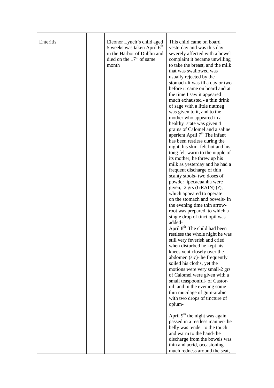| Enteritis | Eleonor Lynch's child aged<br>5 weeks was taken April 6 <sup>th</sup><br>in the Harbor of Dublin and<br>died on the $17th$ of same<br>month | This child came on board<br>yesterday and was this day<br>severely affected with a bowel<br>complaint it became unwilling<br>to take the breast, and the milk<br>that was swallowed was<br>usually rejected by the<br>stomach-It was ill a day or two<br>before it came on board and at<br>the time I saw it appeared<br>much exhausted - a thin drink<br>of sage with a little nutmeg<br>was given to it, and to the<br>mother who appeared in a<br>healthy state was given 4<br>grains of Calomel and a saline<br>aperient April 7 <sup>th</sup> The infant<br>has been restless during the<br>night, his skin felt hot and his<br>tong felt warm to the nipple of<br>its mother, he threw up his<br>milk as yesterday and he had a<br>frequent discharge of thin<br>scanty stools- two doses of<br>powder ipecacuanha were<br>given, $2$ grs (GRAIN) $(?)$ ,<br>which appeared to operate<br>on the stomach and bowels- In<br>the evening time thin arrow-<br>root was prepared, to which a<br>single drop of tinct opii was<br>added-<br>April 8 <sup>th</sup> The child had been<br>restless the whole night he was<br>still very feverish and cried<br>when disturbed he kept his<br>knees vent closely over the<br>abdomen (sic)- he frequently<br>soiled his cloths, yet the<br>motions were very small-2 grs<br>of Calomel were given with a<br>small teaspoonful- of Castor-<br>oil, and in the evening some<br>thin mucilage of gum-arabic<br>with two drops of tincture of<br>opium- |
|-----------|---------------------------------------------------------------------------------------------------------------------------------------------|--------------------------------------------------------------------------------------------------------------------------------------------------------------------------------------------------------------------------------------------------------------------------------------------------------------------------------------------------------------------------------------------------------------------------------------------------------------------------------------------------------------------------------------------------------------------------------------------------------------------------------------------------------------------------------------------------------------------------------------------------------------------------------------------------------------------------------------------------------------------------------------------------------------------------------------------------------------------------------------------------------------------------------------------------------------------------------------------------------------------------------------------------------------------------------------------------------------------------------------------------------------------------------------------------------------------------------------------------------------------------------------------------------------------------------------------------------------------------------------------------|
|           |                                                                                                                                             | April 9 <sup>th</sup> the night was again<br>passed in a restless manner-the                                                                                                                                                                                                                                                                                                                                                                                                                                                                                                                                                                                                                                                                                                                                                                                                                                                                                                                                                                                                                                                                                                                                                                                                                                                                                                                                                                                                                     |
|           |                                                                                                                                             | belly was tender to the touch<br>and warm to the hand-the                                                                                                                                                                                                                                                                                                                                                                                                                                                                                                                                                                                                                                                                                                                                                                                                                                                                                                                                                                                                                                                                                                                                                                                                                                                                                                                                                                                                                                        |
|           |                                                                                                                                             | discharge from the bowels was<br>thin and acrid, occasioning                                                                                                                                                                                                                                                                                                                                                                                                                                                                                                                                                                                                                                                                                                                                                                                                                                                                                                                                                                                                                                                                                                                                                                                                                                                                                                                                                                                                                                     |
|           |                                                                                                                                             | much redness around the seat,                                                                                                                                                                                                                                                                                                                                                                                                                                                                                                                                                                                                                                                                                                                                                                                                                                                                                                                                                                                                                                                                                                                                                                                                                                                                                                                                                                                                                                                                    |

ŕ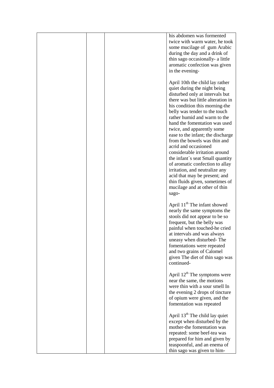|  | his abdomen was formented<br>twice with warm water, he took<br>some mucilage of gum Arabic<br>during the day and a drink of<br>thin sago occasionally- a little<br>aromatic confection was given<br>in the evening-                                                                                                                                                                                                                                                                                                                                                                                                                                              |
|--|------------------------------------------------------------------------------------------------------------------------------------------------------------------------------------------------------------------------------------------------------------------------------------------------------------------------------------------------------------------------------------------------------------------------------------------------------------------------------------------------------------------------------------------------------------------------------------------------------------------------------------------------------------------|
|  | April 10th the child lay rather<br>quiet during the night being<br>disturbed only at intervals but<br>there was but little alteration in<br>his condition this morning-the<br>belly was tender to the touch<br>rather humid and warm to the<br>hand the fomentation was used<br>twice, and apparently some<br>ease to the infant; the discharge<br>from the bowels was thin and<br>acrid and occasioned<br>considerable irritation around<br>the infant's seat Small quantity<br>of aromatic confection to allay<br>irritation, and neutralize any<br>acid that may be present; and<br>thin fluids given, sometimes of<br>mucilage and at other of thin<br>sago- |
|  | April 11 <sup>th</sup> The infant showed<br>nearly the same symptoms the<br>stools did not appear to be so<br>frequent, but the belly was<br>painful when touched-he cried<br>at intervals and was always<br>uneasy when disturbed-The<br>fomentations were repeated<br>and two grains of Calomel<br>given The diet of thin sago was<br>continued-                                                                                                                                                                                                                                                                                                               |
|  | April 12 <sup>th</sup> The symptoms were<br>near the same, the motions<br>were thin with a sour smell In<br>the evening 2 drops of tincture<br>of opium were given, and the<br>fomentation was repeated                                                                                                                                                                                                                                                                                                                                                                                                                                                          |
|  | April 13 <sup>th</sup> The child lay quiet<br>except when disturbed by the<br>mother-the fomentation was<br>repeated: some beef-tea was<br>prepared for him and given by<br>teaspoonful, and an enema of<br>thin sago was given to him-                                                                                                                                                                                                                                                                                                                                                                                                                          |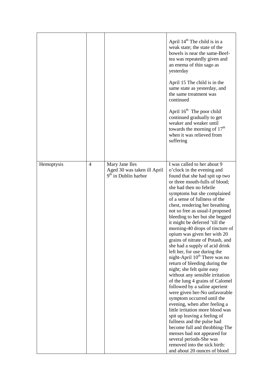|            |   |                                                                                   | April 14 <sup>th</sup> The child is in a<br>weak state; the state of the<br>bowels is near the same-Beef-<br>tea was repeatedly given and<br>an enema of thin sago as<br>yesterday<br>April 15 The child is in the<br>same state as yesterday, and<br>the same treatment was<br>continued<br>April 16 <sup>th</sup> The poor child<br>continued gradually to get<br>weaker and weaker until<br>towards the morning of 17 <sup>th</sup><br>when it was relieved from<br>suffering                                                                                                                                                                                                                                                                                                                                                                                                                                                                                                                                                                                                                                          |
|------------|---|-----------------------------------------------------------------------------------|---------------------------------------------------------------------------------------------------------------------------------------------------------------------------------------------------------------------------------------------------------------------------------------------------------------------------------------------------------------------------------------------------------------------------------------------------------------------------------------------------------------------------------------------------------------------------------------------------------------------------------------------------------------------------------------------------------------------------------------------------------------------------------------------------------------------------------------------------------------------------------------------------------------------------------------------------------------------------------------------------------------------------------------------------------------------------------------------------------------------------|
| Hemoptysis | 4 | Mary Jane Iles<br>Aged 30 was taken ill April<br>9 <sup>th</sup> in Dublin harbor | I was called to her about 9<br>o'clock in the evening and<br>found that she had spit up two<br>or three mouth-fulls of blood;<br>she had then no febrile<br>symptoms but she complained<br>of a sense of fullness of the<br>chest, rendering her breathing<br>not so free as usual-I proposed<br>bleeding to her but she begged<br>it might be deferred 'till the<br>morning-40 drops of tincture of<br>opium was given her with 20<br>grains of nitrate of Potash, and<br>she had a supply of acid drink<br>left her, for use during the<br>night-April 10 <sup>th</sup> There was no<br>return of bleeding during the<br>night; she felt quite easy<br>without any sensible irritation<br>of the lung 4 grains of Calomel<br>followed by a saline aperient<br>were given her-No unfavorable<br>symptom occurred until the<br>evening, when after feeling a<br>little irritation more blood was<br>spit up leaving a feeling of<br>fullness and the pulse had<br>become full and throbbing-The<br>menses had not appeared for<br>several periods-She was<br>removed into the sick birth:<br>and about 20 ounces of blood |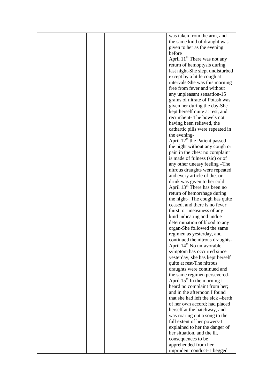|  | was taken from the arm, and               |
|--|-------------------------------------------|
|  | the same kind of draught was              |
|  | given to her as the evening               |
|  |                                           |
|  | before                                    |
|  | April 11 <sup>th</sup> There was not any  |
|  | return of hemoptysis during               |
|  | last night-She slept undisturbed          |
|  | except by a little cough at               |
|  | intervals-She was this morning            |
|  | free from fever and without               |
|  |                                           |
|  | any unpleasant sensation-15               |
|  | grains of nitrate of Potash was           |
|  | given her during the day-She              |
|  | kept herself quite at rest, and           |
|  | recumbent-The bowels not                  |
|  | having been relieved, the                 |
|  | cathartic pills were repeated in          |
|  | the evening-                              |
|  | April 12 <sup>th</sup> the Patient passed |
|  |                                           |
|  | the night without any cough or            |
|  | pain in the chest no complaint            |
|  | is made of fulness (sic) or of            |
|  | any other uneasy feeling -The             |
|  | nitrous draughts were repeated            |
|  | and every article of diet or              |
|  | drink was given to her cold               |
|  | April 13 <sup>th</sup> There has been no  |
|  | return of hemorrhage during               |
|  |                                           |
|  | the night-. The cough has quite           |
|  | ceased, and there is no fever             |
|  | thirst, or uneasiness of any              |
|  | kind indicating and undue                 |
|  | determination of blood to any             |
|  | organ-She followed the same               |
|  | regimen as yesterday, and                 |
|  | continued the nitrous draughts-           |
|  | April 14 <sup>th</sup> No unfavorable     |
|  | symptom has occurred since                |
|  | yesterday, she has kept herself           |
|  |                                           |
|  | quite at rest-The nitrous                 |
|  | draughts were continued and               |
|  | the same regimen persevered-              |
|  | April $15th$ In the morning I             |
|  | heard no complaint from her;              |
|  | and in the afternoon I found              |
|  | that she had left the sick -berth         |
|  | of her own accord; had placed             |
|  | herself at the hatchway, and              |
|  |                                           |
|  | was roaring out a song to the             |
|  | full extent of her powers-I               |
|  | explained to her the danger of            |
|  | her situation, and the ill,               |
|  | consequences to be                        |
|  | apprehended from her                      |
|  | imprudent conduct- I begged               |
|  |                                           |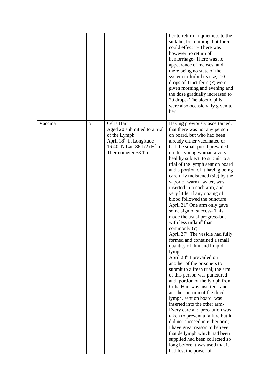|         |   |                                                                                                                                                                                  | her to return in quietness to the<br>sick-be; but nothing but force<br>could effect it-There was<br>however no return of<br>hemorrhage-There was no<br>appearance of menses and<br>there being no state of the<br>system to forbid its use, 10<br>drops of Tinct ferre (?) were<br>given morning and evening and<br>the dose gradually increased to<br>20 drops- The aloetic pills<br>were also occasionally given to<br>her                                                                                                                                                                                                                                                                                                                                                                                                                                                                                                                                                                                                                                                                                                                                                                                                                                                                                                                     |
|---------|---|----------------------------------------------------------------------------------------------------------------------------------------------------------------------------------|--------------------------------------------------------------------------------------------------------------------------------------------------------------------------------------------------------------------------------------------------------------------------------------------------------------------------------------------------------------------------------------------------------------------------------------------------------------------------------------------------------------------------------------------------------------------------------------------------------------------------------------------------------------------------------------------------------------------------------------------------------------------------------------------------------------------------------------------------------------------------------------------------------------------------------------------------------------------------------------------------------------------------------------------------------------------------------------------------------------------------------------------------------------------------------------------------------------------------------------------------------------------------------------------------------------------------------------------------|
| Vaccina | 5 | Celia Hart<br>Aged 20 submitted to a trial<br>of the Lymph<br>April 18 <sup>th</sup> in Longitude<br>16.40 N Lat: $36.1/2$ (H <sup>h</sup> of<br>Thermometer 58 1 <sup>o</sup> ) | Having previously ascertained,<br>that there was not any person<br>on board, but who had been<br>already either vaccinated or<br>had the small pox-I prevailed<br>on this young woman a very<br>healthy subject, to submit to a<br>trial of the lymph sent on board<br>and a portion of it having being<br>carefully moistened (sic) by the<br>vapor of warm -water, was<br>inserted into each arm, and<br>very little, if any oozing of<br>blood followed the puncture<br>April 21 <sup>st</sup> One arm only gave<br>some sign of success-This<br>made the usual progress-but<br>with less inflam <sup>e</sup> than<br>commonly (?)<br>April 27 <sup>th</sup> The vesicle had fully<br>formed and contained a small<br>quantity of thin and limpid<br>lymph<br>April 28 <sup>th</sup> I prevailed on<br>another of the prisoners to<br>submit to a fresh trial; the arm<br>of this person was punctured<br>and portion of the lymph from<br>Celia Hart was inserted : and<br>another portion of the dried<br>lymph, sent on board was<br>inserted into the other arm-<br>Every care and precaution was<br>taken to prevent a failure but it<br>did not succeed in either arm;-<br>I have great reason to believe<br>that de lymph which had been<br>supplied had been collected so<br>long before it was used that it<br>had lost the power of |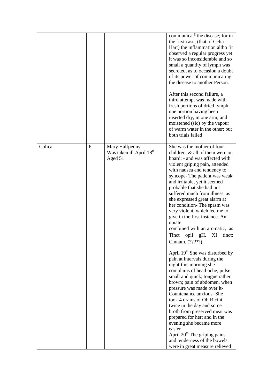|        |   |                                                                   | communicat <sup>8</sup> the disease; for in<br>the first case, (that of Celia<br>Hart) the inflammation altho 'it<br>observed a regular progress yet<br>it was so inconsiderable and so<br>small a quantity of lymph was<br>secreted, as to occasion a doubt<br>of its power of communicating<br>the disease to another Person.<br>After this second failure, a<br>third attempt was made with<br>fresh portions of dried lymph<br>one portion having been<br>inserted dry, in one arm; and<br>moistened (sic) by the vapour<br>of warm water in the other; but<br>both trials failed                                                                                                                                                                                                                                                                                                                                                                                                                                                                                                         |
|--------|---|-------------------------------------------------------------------|-----------------------------------------------------------------------------------------------------------------------------------------------------------------------------------------------------------------------------------------------------------------------------------------------------------------------------------------------------------------------------------------------------------------------------------------------------------------------------------------------------------------------------------------------------------------------------------------------------------------------------------------------------------------------------------------------------------------------------------------------------------------------------------------------------------------------------------------------------------------------------------------------------------------------------------------------------------------------------------------------------------------------------------------------------------------------------------------------|
| Colica | 6 | Mary Halfpenny<br>Was taken ill April 18 <sup>th</sup><br>Aged 51 | She was the mother of four<br>children, & all of them were on<br>board; - and was affected with<br>violent griping pain, attended<br>with nausea and tendency to<br>syncope- The patient was weak<br>and irritable, yet it seemed<br>probable that she had not<br>suffered much from illness, as<br>she expressed great alarm at<br>her condition-The spasm was<br>very violent, which led me to<br>give in the first instance. An<br>opiate<br>combined with an aromatic, as<br>Tinct<br>opii<br>gH.<br>XI<br>tinct:<br>Cinnam. (?????)<br>April 19 <sup>th</sup> She was disturbed by<br>pain at intervals during the<br>night-this morning she<br>complains of head-ache, pulse<br>small and quick; tongue rather<br>brown; pain of abdomen, when<br>pressure was made over it-<br>Countenance anxious- She<br>took 4 drams of Ol: Ricini<br>twice in the day and some<br>broth from preserved meat was<br>prepared for her; and in the<br>evening she became more<br>easier<br>April 20 <sup>th</sup> The griping pains<br>and tenderness of the bowels<br>were in great measure relieved |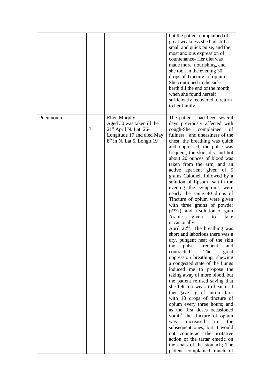|           |        |                                                                                                                                              | but the patient complained of<br>great weakness she had still a<br>small and quick pulse, and the<br>most anxious expression of<br>countenance-Her diet was<br>made more nourishing, and<br>she took in the evening 30<br>drops of Tincture of opium-<br>She continued in the sick-<br>berth till the end of the month,<br>when she found herself<br>sufficiently recovered to return<br>to her family.                                                                                                                                                                                                                                                                                                                                                                                                                                                                                                                                                                                                                                                                                                                                                                                                                                                                                                                                                                                       |
|-----------|--------|----------------------------------------------------------------------------------------------------------------------------------------------|-----------------------------------------------------------------------------------------------------------------------------------------------------------------------------------------------------------------------------------------------------------------------------------------------------------------------------------------------------------------------------------------------------------------------------------------------------------------------------------------------------------------------------------------------------------------------------------------------------------------------------------------------------------------------------------------------------------------------------------------------------------------------------------------------------------------------------------------------------------------------------------------------------------------------------------------------------------------------------------------------------------------------------------------------------------------------------------------------------------------------------------------------------------------------------------------------------------------------------------------------------------------------------------------------------------------------------------------------------------------------------------------------|
| Pneumonia | $\tau$ | Ellen Murphy<br>Aged 30 was taken ill the<br>21 <sup>st</sup> April N. Lat: 26-<br>Longitude 17 and died May<br>$8th$ in N. Lat 5. Longit:19 | The patient had been several<br>days previously affected with<br>cough-She<br>complained<br>of<br>fullness, and uneasiness of the<br>chest, the breathing was quick<br>and oppressed, the pulse was<br>frequent, the skin, dry and hot<br>about 20 ounces of blood was<br>taken from the arm, and an<br>active aperient given of 5<br>grains Calomel, followed by a<br>solution of Epsom salt-in the<br>evening the symptoms were<br>nearly the same 40 drops of<br>Tincture of opium were given<br>with three grains of powder<br>$(????)$ ; and a solution of gum<br>Arabic<br>given<br>take<br>to<br>occasionally<br>April $22^{nd}$ . The breathing was<br>short and laborious there was a<br>dry, pungent heat of the skin<br>pulse<br>frequent<br>the<br>and<br>contracted-<br>The<br>great<br>oppression breathing, shewing<br>a congested state of the Lungs<br>induced me to propose the<br>taking away of more blood, but<br>the patient refused saying that<br>she felt too weak to bear it- I<br>then gave 1 gr of antim : tart:<br>with 10 drops of tincture of<br>opium every three hours; and<br>as the first doses occasioned<br>vomit <sup>g</sup> the tincture of opium<br>increased<br>in<br>the<br>was<br>subsequent ones; but it would<br>not counteract the irritative<br>action of the tartar emetic on<br>the coats of the stomach; The<br>patient complained much of |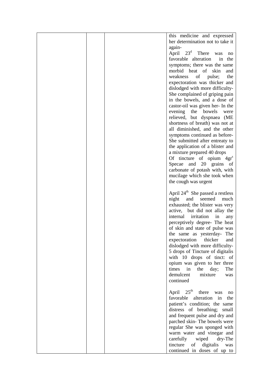|  | this medicine and expressed                  |
|--|----------------------------------------------|
|  | her determination not to take it             |
|  | again-                                       |
|  | $23^d$ There<br>April<br>was<br>no           |
|  | favorable alteration<br>in the               |
|  | symptoms; there was the same                 |
|  | morbid heat of skin                          |
|  | and                                          |
|  | the<br>weakness<br>of<br>pulse;              |
|  | expectoration was thicker and                |
|  | dislodged with more difficulty-              |
|  | She complained of griping pain               |
|  | in the bowels, and a dose of                 |
|  | castor-oil was given her- In the             |
|  | evening the bowels<br>were                   |
|  | relieved, but dyspnaea (ME                   |
|  | shortness of breath) was not at              |
|  | all diminished, and the other                |
|  | symptoms continued as before-                |
|  | She submitted after entreaty to              |
|  | the application of a blister and             |
|  | a mixture prepared 40 drops                  |
|  | Of tincture of opium 4gr <sup>s</sup>        |
|  | Specae and 20 grains of                      |
|  | carbonate of potash with, with               |
|  | mucilage which she took when                 |
|  | the cough was urgent                         |
|  |                                              |
|  | April 24 <sup>th</sup> She passed a restless |
|  | night<br>and<br>seemed<br>much               |
|  | exhausted; the blister was very              |
|  | active, but did not allay the                |
|  | internal irritation<br>in<br>any             |
|  | perceptively degree- The heat                |
|  | of skin and state of pulse was               |
|  | the same as yesterday- The                   |
|  | expectoration<br>thicker<br>and              |
|  | dislodged with more difficulty-              |
|  | 5 drops of Tincture of digitalis             |
|  | with 10 drops of tinct: of                   |
|  | opium was given to her three                 |
|  |                                              |
|  | times<br>in<br>the<br>day;<br>The            |
|  | demulcent<br>mixture<br>was                  |
|  | continued                                    |
|  | $25^{\text{th}}$                             |
|  | April<br>there<br>was<br>no<br>alteration    |
|  | favorable<br>in<br>the                       |
|  | patient's condition; the same                |
|  | distress of breathing; small                 |
|  | and frequent pulse and dry and               |
|  | parched skin-The bowels were                 |
|  | regular She was sponged with                 |
|  | warm water and vinegar and                   |
|  | carefully<br>wiped<br>dry-The                |
|  | digitalis<br>tincture<br>of<br>was           |
|  | continued in doses of up to                  |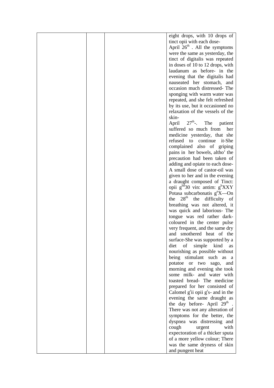| eight drops, with 10 drops of                               |
|-------------------------------------------------------------|
|                                                             |
| tinct opii with each dose-                                  |
| April $26th$ . All the symptoms                             |
| were the same as yesterday, the                             |
| tinct of digitalis was repeated                             |
| in doses of 10 to 12 drops, with                            |
| laudanum as before- in the                                  |
| evening that the digitalis had                              |
| nauseated her stomach,<br>and                               |
| occasion much distressed-The                                |
| sponging with warm water was                                |
|                                                             |
| repeated, and she felt refreshed                            |
| by its use, but it occasioned no                            |
| relaxation of the vessels of the                            |
| skin-                                                       |
| April $27^{\text{th}}$ -. The<br>patient                    |
| suffered so much from<br>her                                |
| medicine yesterday, that she                                |
| refused<br>to continue<br>it-She                            |
| complained also of griping                                  |
| pains in her bowels, altho' the                             |
| precaution had been taken of                                |
| adding and opiate to each dose-                             |
| A small dose of castor-oil was                              |
|                                                             |
| given to her and in the evening                             |
| a draught composed of Tinct:                                |
| opii $g^{hd}$ 30 vin: antim: $g^{h}$ XXY                    |
| Potasa subcarbonatis $g^nX$ —On                             |
| 28 <sup>th</sup><br>the difficulty of<br>the                |
| breathing was not altered, it                               |
| was quick and laborious- The                                |
| tongue was red rather dark-                                 |
| coloured in the center pulse                                |
| very frequent, and the same dry                             |
| and smothered heat of the                                   |
| surface-She was supported by a                              |
| diet<br>of<br>simple<br>kind<br>as                          |
| nourishing as possible without                              |
| being stimulant such as<br>- a                              |
| potatoe or<br>two sago,<br>and                              |
| morning and evening she took                                |
|                                                             |
| some milk- and water with                                   |
| toasted bread- The medicine                                 |
| prepared for her consisted of                               |
| Calomel $g^{\text{r}}$ ii opii $g^{\text{r}}$ s- and in the |
| evening the same draught as                                 |
| the day before- April 29 <sup>th</sup>                      |
| There was not any alteration of                             |
| symptoms for the better, the                                |
| dyspnea was distressing and                                 |
| with<br>cough<br>urgent                                     |
| expectoration of a thicker sputa                            |
| of a more yellow colour; There                              |
| was the same dryness of skin                                |
| and pungent heat                                            |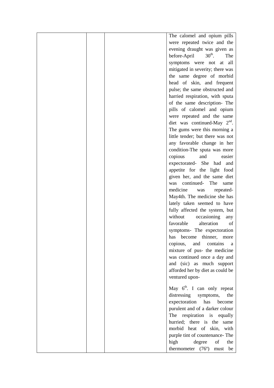|  | The calomel and opium pills              |
|--|------------------------------------------|
|  | were repeated twice and the              |
|  | evening draught was given as             |
|  | before-April $30th$ .<br>The             |
|  | symptoms were not at<br>all              |
|  | mitigated in severity; there was         |
|  | the same degree of morbid                |
|  | head of skin, and frequent               |
|  | pulse; the same obstructed and           |
|  | harried respiration, with sputa          |
|  | of the same description- The             |
|  | pills of calomel and opium               |
|  | were repeated and the same               |
|  | diet was continued-May $2nd$ .           |
|  |                                          |
|  | The gums were this morning a             |
|  | little tender; but there was not         |
|  | any favorable change in her              |
|  | condition-The sputa was more             |
|  | copious<br>and<br>easier                 |
|  | expectorated-<br>She had and             |
|  | appetite for the light food              |
|  | given her, and the same diet             |
|  | continued- The<br>was<br>same            |
|  | medicine<br>repeated-<br>was             |
|  | May4th. The medicine she has             |
|  | lately taken seemed to have              |
|  | fully affected the system, but           |
|  | without<br>occasioning<br>any            |
|  | favorable<br>alteration<br>οf            |
|  | symptoms- The expectoration              |
|  | has become thinner,<br>more              |
|  | and<br>copious,<br>contains<br>a         |
|  | mixture of pus- the medicine             |
|  | was continued once a day and             |
|  | and (sic) as much support                |
|  | afforded her by diet as could be         |
|  | ventured upon-                           |
|  |                                          |
|  | May 6 <sup>th</sup> . I can only repeat  |
|  | distressing symptoms,<br>the             |
|  | expectoration<br>has<br>become           |
|  | purulent and of a darker colour          |
|  | The respiration is equally               |
|  | hurried; there is the same               |
|  | morbid heat of skin, with                |
|  | purple tint of countenance-The           |
|  | high<br>degree<br>the<br>of              |
|  | thermometer $(76^{\circ})$<br>be<br>must |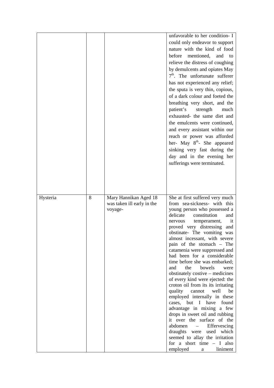|          |   |                            | unfavorable to her condition- I                             |
|----------|---|----------------------------|-------------------------------------------------------------|
|          |   |                            | could only endeavor to support                              |
|          |   |                            | nature with the kind of food                                |
|          |   |                            | before<br>mentioned,<br>and<br>to                           |
|          |   |                            | relieve the distress of coughing                            |
|          |   |                            | by demulcents and opiates May                               |
|          |   |                            | $7th$ . The unfortunate sufferer                            |
|          |   |                            |                                                             |
|          |   |                            | has not experienced any relief;                             |
|          |   |                            | the sputa is very thin, copious,                            |
|          |   |                            | of a dark colour and foeted the                             |
|          |   |                            | breathing very short, and the                               |
|          |   |                            | patient's<br>strength<br>much                               |
|          |   |                            | exhausted- the same diet and                                |
|          |   |                            | the emulcents were continued,                               |
|          |   |                            | and every assistant within our                              |
|          |   |                            | reach or power was afforded                                 |
|          |   |                            | her- May $8^{th}$ - She appeared                            |
|          |   |                            | sinking very fast during the                                |
|          |   |                            | day and in the evening her                                  |
|          |   |                            | sufferings were terminated.                                 |
|          |   |                            |                                                             |
|          |   |                            |                                                             |
|          |   |                            |                                                             |
|          |   |                            |                                                             |
|          |   |                            |                                                             |
|          |   |                            |                                                             |
| Hysteria | 8 | Mary Hannikan Aged 18      | She at first suffered very much                             |
|          |   | was taken ill early in the | from sea-sickness- with this                                |
|          |   | voyage-                    | young person who possessed a                                |
|          |   |                            | delicate<br>constitution<br>and                             |
|          |   |                            | temperament,<br>nervous<br>it                               |
|          |   |                            | proved very distressing<br>and                              |
|          |   |                            | obstinate- The vomiting was                                 |
|          |   |                            | almost incessant, with severe<br>pain of the stomach – The  |
|          |   |                            | catamenia were suppressed and                               |
|          |   |                            | had been for a considerable                                 |
|          |   |                            | time before she was embarked;                               |
|          |   |                            | bowels<br>the<br>and<br>were                                |
|          |   |                            | obstinately costive – medicines                             |
|          |   |                            | of every kind were ejected: the                             |
|          |   |                            | croton oil from its its irritating                          |
|          |   |                            | quality<br>cannot<br>well<br>be                             |
|          |   |                            | employed internally in these                                |
|          |   |                            | cases, but I have<br>found                                  |
|          |   |                            | advantage in mixing a few<br>drops in sweet oil and rubbing |
|          |   |                            | it over the surface of the                                  |
|          |   |                            | abdomen<br>Effervescing                                     |
|          |   |                            | draughts were<br>used which                                 |
|          |   |                            | seemed to allay the irritation                              |
|          |   |                            | for a short time $- I$ also<br>employed<br>liniment<br>a a  |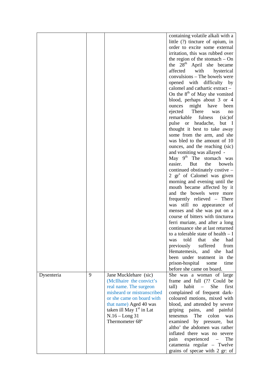|            |   |                            | containing volatile alkali with a           |
|------------|---|----------------------------|---------------------------------------------|
|            |   |                            | little (?) tincture of opium, in            |
|            |   |                            | order to excite some external               |
|            |   |                            | irritation, this was rubbed over            |
|            |   |                            | the region of the stomach $-$ On            |
|            |   |                            | the 28 <sup>th</sup> April she became       |
|            |   |                            | with<br>affected                            |
|            |   |                            | hysterical<br>convulsions – The bowels were |
|            |   |                            |                                             |
|            |   |                            | opened with difficulty by                   |
|            |   |                            | calomel and cathartic extract -             |
|            |   |                            | On the 8 <sup>th</sup> of May she vomited   |
|            |   |                            | blood, perhaps about 3 or 4                 |
|            |   |                            | ounces might have<br>been                   |
|            |   |                            | There<br>ejected<br>was<br>no               |
|            |   |                            | fulness<br>remarkable<br>(sic)              |
|            |   |                            | pulse or headache,<br>but I                 |
|            |   |                            | thought it best to take away                |
|            |   |                            | some from the arm, and she                  |
|            |   |                            | was bled to the amount of 10                |
|            |   |                            | ounces, and the reaching (sic)              |
|            |   |                            | and vomiting was allayed -                  |
|            |   |                            | May 9 <sup>th</sup> The stomach was         |
|            |   |                            | easier.<br>But<br>the<br>bowels             |
|            |   |                            | continued obstinately costive -             |
|            |   |                            | 2 gr <sup>s</sup> of Calomel was given      |
|            |   |                            | morning and evening until the               |
|            |   |                            | mouth became affected by it                 |
|            |   |                            |                                             |
|            |   |                            | and the bowels were more                    |
|            |   |                            | frequently relieved – There                 |
|            |   |                            | was still no appearance of                  |
|            |   |                            | menses and she was put on a                 |
|            |   |                            | course of bitters with tincturea            |
|            |   |                            | ferri muriate, and after a long             |
|            |   |                            | continuance she at last returned            |
|            |   |                            | to a tolerable state of health $- I$        |
|            |   |                            | was told that she had                       |
|            |   |                            | previously<br>suffered<br>from              |
|            |   |                            | Hematemesis,<br>and she<br>had              |
|            |   |                            | been under teatment in the                  |
|            |   |                            | prison-hospital<br>some<br>time             |
|            |   |                            | before she came on board.                   |
| Dysenteria | 9 | Jane Mucklehare (sic)      | She was a woman of large                    |
|            |   | (McIlhaire the convict's   | frame and full (?? Could be                 |
|            |   | real name. The surgeon     | tall)<br>habit<br>She<br>first<br>$\equiv$  |
|            |   | misheard or mistranscribed | complained of frequent dark-                |
|            |   | or she came on board with  | coloured motions, mixed with                |
|            |   | that name) Aged 40 was     | blood, and attended by severe               |
|            |   | taken ill May $1st$ in Lat | griping pains, and painful                  |
|            |   | $N.16 - Long31$            | The<br>tenesmus<br>colon<br>was             |
|            |   | Thermometer 68°            |                                             |
|            |   |                            | examined by pressure, but                   |
|            |   |                            | altho' the abdomen was rather               |
|            |   |                            | inflated there was no severe                |
|            |   |                            | pain<br>experienced<br>The<br>$\equiv$      |
|            |   |                            | catamenia regular - Twelve                  |
|            |   |                            | grains of specae with 2 gr: of $\vert$      |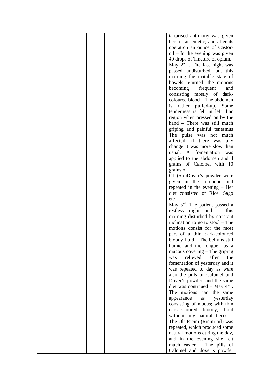|  | tartarised antimony was given              |
|--|--------------------------------------------|
|  | her for an emetic; and after its           |
|  | operation an ounce of Castor-              |
|  | $oil$ – In the evening was given           |
|  |                                            |
|  | 40 drops of Tincture of opium.             |
|  | May $2^{nd}$ . The last night was          |
|  | passed undisturbed, but this               |
|  | morning the irritable state of             |
|  | bowels returned: the motions               |
|  |                                            |
|  | becoming<br>frequent<br>and                |
|  | consisting mostly of dark-                 |
|  | coloured blood - The abdomen               |
|  | is rather puffed-up. Some                  |
|  |                                            |
|  | tenderness is felt in left iliac           |
|  | region when pressed on by the              |
|  | hand - There was still much                |
|  | griping and painful tenesmus               |
|  | The pulse was not much                     |
|  |                                            |
|  | affected, if there was<br>any              |
|  | change it was more slow than               |
|  | usual. A fomentation was                   |
|  | applied to the abdomen and 4               |
|  | grains of Calomel with 10                  |
|  |                                            |
|  | grains of                                  |
|  | Of (Sic)Dover's powder were                |
|  | given in the forenoon and                  |
|  | repeated in the evening – Her              |
|  | diet consisted of Rice, Sago               |
|  |                                            |
|  | $etc-$                                     |
|  | May $3rd$ . The patient passed a           |
|  | restless night and is this                 |
|  | morning disturbed by constant              |
|  | inclination to go to stool – The           |
|  |                                            |
|  | motions consist for the most               |
|  | part of a thin dark-coloured               |
|  | bloody fluid - The belly is still          |
|  | humid and the tongue has a                 |
|  | mucous covering $-$ The griping            |
|  | relieved<br>after<br>the<br>was            |
|  |                                            |
|  | fomentation of yesterday and it            |
|  | was repeated to day as were                |
|  | also the pills of Calomel and              |
|  | Dover's powder; and the same               |
|  | diet was continued – May $4^{\text{th}}$ . |
|  |                                            |
|  | The motions had the same                   |
|  | yesterday<br>appearance<br>as              |
|  | consisting of mucus; with thin             |
|  | dark-coloured bloody,<br>fluid             |
|  | without any natural faces -                |
|  | The Ol: Ricini (Ricini oil) was            |
|  |                                            |
|  | repeated, which produced some              |
|  | natural motions during the day,            |
|  | and in the evening she felt                |
|  | much easier - The pills of                 |
|  | Calomel and dover's powder                 |
|  |                                            |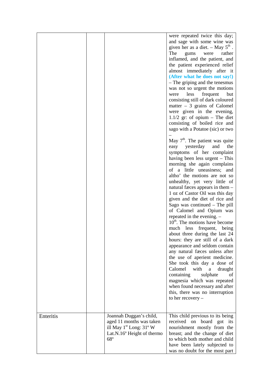|           |                                                                                                                                | were repeated twice this day;<br>and sage with some wine was<br>given her as a diet. $-$ May $5th$ .<br>The<br>were<br>rather<br>gums<br>inflamed, and the patient, and<br>the patient experienced relief<br>almost immediately after it<br>(After what he does not say!)<br>- The griping and the tenesmus<br>was not so urgent the motions<br>less<br>frequent<br>but<br>were<br>consisting still of dark coloured<br>matter $-3$ grains of Calomel<br>were given in the evening,<br>$1.1/2$ gr: of opium – The diet<br>consisting of boiled rice and<br>sago with a Potatoe (sic) or two<br>May $7th$ . The patient was quite<br>yesterday<br>the<br>easy<br>and<br>symptoms of her complaint<br>having been less urgent – This<br>morning she again complains<br>of a little uneasiness; and<br>altho' the motions are not so<br>unhealthy, yet very little of<br>natural faces appears in them -<br>1 oz of Castor Oil was this day<br>given and the diet of rice and<br>Sago was continued $-$ The pill<br>of Calomel and Opium was<br>repeated in the evening. -<br>$10th$ . The motions have become<br>much less frequent, being<br>about three during the last 24<br>hours: they are still of a dark<br>appearance and seldom contain<br>any natural faces unless after<br>the use of aperient medicine.<br>She took this day a dose of<br>Calomel<br>with<br>a<br>draught<br>containing<br>sulphate<br>οf<br>magnesia which was repeated<br>when found necessary and after<br>this, there was no interruption<br>to her recovery $-$ |
|-----------|--------------------------------------------------------------------------------------------------------------------------------|------------------------------------------------------------------------------------------------------------------------------------------------------------------------------------------------------------------------------------------------------------------------------------------------------------------------------------------------------------------------------------------------------------------------------------------------------------------------------------------------------------------------------------------------------------------------------------------------------------------------------------------------------------------------------------------------------------------------------------------------------------------------------------------------------------------------------------------------------------------------------------------------------------------------------------------------------------------------------------------------------------------------------------------------------------------------------------------------------------------------------------------------------------------------------------------------------------------------------------------------------------------------------------------------------------------------------------------------------------------------------------------------------------------------------------------------------------------------------------------------------------------------------------------------|
| Enteritis | Joannah Duggan's child,<br>aged 11 months was taken<br>ill May $1st$ Long: $31o$ W<br>Lat.N.16° Height of thermo<br>$68^\circ$ | This child previous to its being<br>received on board got its<br>nourishment mostly from the<br>breast; and the change of diet<br>to which both mother and child<br>have been lately subjected to<br>was no doubt for the most part                                                                                                                                                                                                                                                                                                                                                                                                                                                                                                                                                                                                                                                                                                                                                                                                                                                                                                                                                                                                                                                                                                                                                                                                                                                                                                            |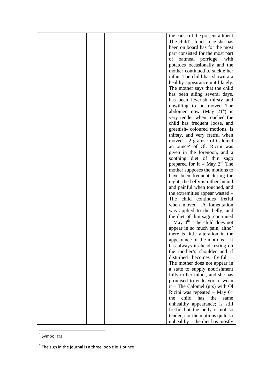|  | the cause of the present ailment            |
|--|---------------------------------------------|
|  | The child's food since she has              |
|  | been on board has for the most              |
|  | part consisted for the most part            |
|  | oatmeal porridge,<br>with<br>οf             |
|  | potatoes occasionally and the               |
|  | mother continued to suckle her              |
|  |                                             |
|  | infant The child has shown a a              |
|  | healthy appearance until lately.            |
|  | The mother says that the child              |
|  | has been ailing several days,               |
|  | has been feverish thirsty and               |
|  | unwilling to be moved The                   |
|  | abdomen now (May $21st$ ) is                |
|  | very tender when touched the                |
|  | child has frequent loose, and               |
|  | greenish-coloured motions, is               |
|  | thirsty, and very fretful when              |
|  | moved $-2$ grains <sup>1</sup> : of Calomel |
|  | an ounce of Ol: Ricini was                  |
|  | given in the forenoon, and a                |
|  | soothing diet of thin sago                  |
|  | prepared for it – May $3rd$ The             |
|  | mother supposes the motions to              |
|  | have been frequent during the               |
|  | night; the belly is rather humid            |
|  | and painful when touched, and               |
|  | the extremities appear wasted –             |
|  | child continues fretful<br>The              |
|  | when moved<br>A fomentation                 |
|  | was applied to the belly, and               |
|  | the diet of thin sago continued             |
|  | $-$ May $4^{\text{th}}$ The child does not  |
|  | appear in so much pain, altho'              |
|  | there is little alteration in the           |
|  | appearance of the motions - It              |
|  | has always its head resting on              |
|  | the mother's shoulder and if                |
|  | disturbed becomes fretful                   |
|  | The mother does not appear in               |
|  | a state to supply nourishment               |
|  | fully to her infant, and she has            |
|  | promised to endeavor to wean                |
|  | $it$ – The Calomel (grs) with Ol            |
|  |                                             |
|  | Ricini was repeated $-$ May $6th$           |
|  | child<br>has<br>the<br>the<br>same          |
|  | unhealthy appearance; is still              |
|  | fretful but the belly is not so             |
|  | tender, nor the motions quite so            |
|  | unhealthy $-$ the diet has mostly           |

<sup>&</sup>lt;u>a</u><br>The Symbol grs

 $2$  The sign in the journal is a three loop z ie 1 ounce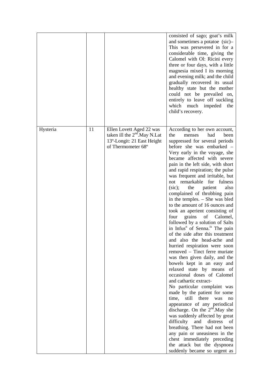|          |    |                                                                                                                  | consisted of sago; goat's milk<br>and sometimes a potatoe (sic)-<br>This was persevered in for a<br>considerable time, giving the<br>Calomel with Ol: Ricini every<br>three or four days, with a little<br>magnesia mixed I its morning<br>and evening milk; and the child<br>gradually recovered its usual<br>healthy state but the mother<br>could not be prevailed on,<br>entirely to leave off suckling<br>which much impeded<br>the<br>child's recovery.                                                                                                                                                                                                                                                                                                                                                                                                                                                                                                                                                                                                                                                                                                                                                                                                                                                                                                |
|----------|----|------------------------------------------------------------------------------------------------------------------|--------------------------------------------------------------------------------------------------------------------------------------------------------------------------------------------------------------------------------------------------------------------------------------------------------------------------------------------------------------------------------------------------------------------------------------------------------------------------------------------------------------------------------------------------------------------------------------------------------------------------------------------------------------------------------------------------------------------------------------------------------------------------------------------------------------------------------------------------------------------------------------------------------------------------------------------------------------------------------------------------------------------------------------------------------------------------------------------------------------------------------------------------------------------------------------------------------------------------------------------------------------------------------------------------------------------------------------------------------------|
| Hysteria | 11 | Ellen Lovett Aged 22 was<br>taken ill the $2nd$ . May N. Lat<br>13°-Longit: 21 East Height<br>of Thermometer 68° | According to her own account,<br>the<br>menses<br>had<br>been<br>suppressed for several periods<br>before she was embarked –<br>Very early in the voyage, she<br>became affected with severe<br>pain in the left side, with short<br>and rapid respiration; the pulse<br>was frequent and irritable, but<br>not remarkable for fulness<br>(sic);<br>the<br>patient<br>also<br>complained of throbbing pain<br>in the temples. – She was bled<br>to the amount of 16 ounces and<br>took an aperient consisting of<br>four<br>grains<br>Calomel,<br>of<br>followed by a solution of Salts<br>in Infus <sup>n</sup> of Senna. <sup>ix</sup> The pain<br>of the side after this treatment<br>and also the head-ache and<br>hurried respiration were soon<br>removed – Tinct ferre muriate<br>was then given daily, and the<br>bowels kept in an easy and<br>relaxed state by means of<br>occasional doses of Calomel<br>and cathartic extract-<br>No particular complaint was<br>made by the patient for some<br>time.<br>there<br>still<br>was<br>no<br>appearance of any periodical<br>discharge. On the $2nd$ . May she<br>was suddenly affected by great<br>and<br>difficulty<br>distress of<br>breathing. There had not been<br>any pain or uneasiness in the<br>chest immediately preceding<br>the attack but the dyspnoea<br>suddenly became so urgent as |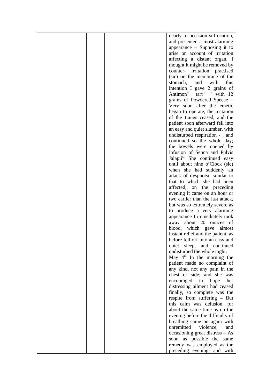|  | nearly to occasion suffocation,          |
|--|------------------------------------------|
|  |                                          |
|  | and presented a most alarming            |
|  | appearance $-$ Supposing it to           |
|  | arise on account of irritation           |
|  | affecting a distant organ, I             |
|  | thought it might be removed by           |
|  | counter-<br>irritation practised         |
|  | (sic) on the membrane of the             |
|  | this<br>stomach,<br>with<br>and          |
|  |                                          |
|  | intention I gave 2 grains of             |
|  | Antimon <sup>m</sup> $\arctan x$ with 12 |
|  | grains of Powdered Specae –              |
|  | Very soon after the emetic               |
|  | began to operate, the irritation         |
|  | of the Lungs ceased, and the             |
|  | patient soon afterward fell into         |
|  | an easy and quiet slumber, with          |
|  |                                          |
|  | undisturbed respiration -, and           |
|  | continued so the whole day;              |
|  | the bowels were opened by                |
|  | Infusion of Senna and Pulvis             |
|  | Jalapii <sup>xi</sup> She continued easy |
|  | until about nine o'Clock (sic)           |
|  | when she had suddenly an                 |
|  | attack of dyspnoea, similar to           |
|  | that to which she had been               |
|  | affected, on the preceding               |
|  | evening It came on an hour or            |
|  |                                          |
|  | two earlier than the last attack,        |
|  | but was so extremely severe as           |
|  | to produce a very alarming               |
|  | appearance I immediately took            |
|  | away about 20 ounces of                  |
|  | blood, which gave<br>almost              |
|  | instant relief and the patient, as       |
|  | before fell-off into an easy and         |
|  | quiet sleep,<br>and continued            |
|  | undisturbed the whole night.             |
|  | May $4^{\text{th}}$ In the morning the   |
|  |                                          |
|  | patient made no complaint of             |
|  | any kind, not any pain in the            |
|  | chest or side; and she was               |
|  | encouraged<br>hope<br>to<br>her          |
|  | distressing ailment had ceased           |
|  | finally, so complete was the             |
|  | respite from suffering - But             |
|  | this calm was delusion, for              |
|  | about the same time as on the            |
|  | evening before the difficulty of         |
|  |                                          |
|  | breathing came on again with             |
|  | unremitted<br>violence,<br>and           |
|  | occasioning great distress - As          |
|  | soon as possible the same                |
|  | remedy was employed as the               |
|  | preceding evening, and with              |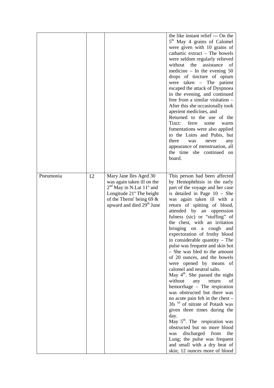|           |    |                                                                                                                                                                                                                | the like instant relief --- On the<br>5 <sup>th</sup> May 4 grains of Calomel<br>were given with 10 grains of<br>cathartic extract - The bowels<br>were seldom regularly relieved<br>without the<br>assistance<br>of<br>medicine $-$ In the evening 50<br>drops of tincture of opium<br>$taken - The patient$<br>were<br>escaped the attack of Dyspnoea<br>in the evening, and continued<br>free from a similar visitation -<br>After this she occasionally took<br>aperient medicines, and<br>Returned to the use of the<br>ferre<br>Tinct:<br>some<br>warm<br>fomentations were also applied<br>to the Loins and Pubis, but<br>there<br>was<br>never<br>any<br>appearance of menstruation, all<br>the time she continued on<br>board.                                                                                                                                                                                                                                                                                                      |
|-----------|----|----------------------------------------------------------------------------------------------------------------------------------------------------------------------------------------------------------------|----------------------------------------------------------------------------------------------------------------------------------------------------------------------------------------------------------------------------------------------------------------------------------------------------------------------------------------------------------------------------------------------------------------------------------------------------------------------------------------------------------------------------------------------------------------------------------------------------------------------------------------------------------------------------------------------------------------------------------------------------------------------------------------------------------------------------------------------------------------------------------------------------------------------------------------------------------------------------------------------------------------------------------------------|
| Pneumonia | 12 | Mary Jane Iles Aged 30<br>was again taken ill on the<br>$2nd$ May in N.Lat 11 <sup>o</sup> and<br>Longitude 21° The height<br>of the Therm <sup>r</sup> being 69 $\&$<br>upward and died 29 <sup>th</sup> June | This person had been affected<br>by Hemophthisis in the early<br>part of the voyage and her case<br>is detailed in Page 10 - She<br>was again taken ill with a<br>return of spitting of blood,<br>attended by an oppression<br>fulness (sic) or "stuffing" of<br>the chest, with an irritation<br>bringing on a cough<br>and<br>expectoration of frothy blood<br>in considerable quantity - The<br>pulse was frequent and skin hot<br>- She was bled to the amount<br>of 20 ounces, and the bowels<br>were opened by means of<br>calomel and neutral salts.<br>May $4th$ . She passed the night<br>without<br>any<br>return<br>of<br>hemorrhage - The respiration<br>was obstructed but there was<br>no acute pain felt in the chest –<br>3fs <sup>xii</sup> of nitrate of Potash was<br>given three times during the<br>day.<br>May $5^{\text{th}}$ . The respiration was<br>obstructed but no more blood<br>discharged from<br>the<br>was<br>Lung; the pulse was frequent<br>and small with a dry heat of<br>skin; 12 ounces more of blood |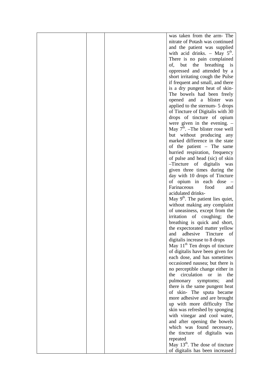|  | was taken from the arm- The            |
|--|----------------------------------------|
|  |                                        |
|  | nitrate of Potash was continued        |
|  | and the patient was supplied           |
|  | with acid drinks. - May $5th$ .        |
|  | There is no pain complained            |
|  | of, but the breathing<br>$\frac{1}{1}$ |
|  | oppressed and attended by a            |
|  |                                        |
|  | short irritating cough the Pulse       |
|  | if frequent and small, and there       |
|  | is a dry pungent heat of skin-         |
|  | The bowels had been freely             |
|  | opened<br>and<br>a blister<br>was      |
|  | applied to the sternum- 5 drops        |
|  |                                        |
|  | of Tincture of Digitalis with 30       |
|  | drops of tincture of opium             |
|  | were given in the evening. $-$         |
|  | May $7th$ . -The blister rose well     |
|  | but without producing<br>any           |
|  | marked difference in the state         |
|  |                                        |
|  | of the patient – The same              |
|  | hurried respiration, frequency         |
|  | of pulse and head (sic) of skin        |
|  | -Tincture of digitalis<br>was          |
|  | given three times during the           |
|  | day with 10 drops of Tincture          |
|  | of opium in each dose –                |
|  |                                        |
|  | Farinaceous<br>food<br>and             |
|  | acidulated drinks-                     |
|  | May $9th$ . The patient lies quiet,    |
|  | without making any complaint           |
|  | of uneasiness, except from the         |
|  | irritation of coughing;<br>the         |
|  | breathing is quick and short,          |
|  |                                        |
|  | the expectorated matter yellow         |
|  | adhesive<br>Tincture<br>and<br>of      |
|  | digitalis increase to 8 drops          |
|  | May $11th$ Ten drops of tincture       |
|  | of digitalis have been given for       |
|  | each dose, and has sometimes           |
|  | occasioned nausea; but there is        |
|  |                                        |
|  | no perceptible change either in        |
|  | circulation or<br>the<br>in<br>the     |
|  | pulmonary<br>symptoms;<br>and          |
|  | there is the same pungent heat         |
|  | of skin- The sputa became              |
|  | more adhesive and are brought          |
|  | up with more difficulty The            |
|  | skin was refreshed by sponging         |
|  |                                        |
|  | with vinegar and cool water,           |
|  | and after opening the bowels           |
|  | which was found necessary,             |
|  | the tincture of digitalis was          |
|  | repeated                               |
|  | May $13th$ . The dose of tincture      |
|  | of digitalis has been increased        |
|  |                                        |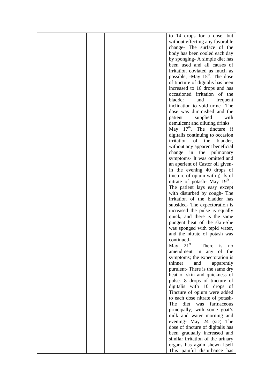|  | to 14 drops for a dose, but                |
|--|--------------------------------------------|
|  | without effecting any favorable            |
|  | change- The surface of the                 |
|  | body has been cooled each day              |
|  | by sponging- A simple diet has             |
|  | been used and all causes of                |
|  | irritation obviated as much as             |
|  | possible; -May 15 <sup>th</sup> . The dose |
|  | of tincture of digitalis has been          |
|  | increased to 16 drops and has              |
|  | occasioned irritation<br>of the            |
|  | bladder<br>and<br>frequent                 |
|  | inclination to void urine -The             |
|  | dose was diminished and the                |
|  | patient<br>supplied<br>with                |
|  | demulcent and diluting drinks              |
|  | May $17th$ . The tincture if               |
|  | digitalis continuing to occasion           |
|  | irritation<br>of<br>the                    |
|  | bladder,                                   |
|  | without any apparent beneficial            |
|  | change<br>in the<br>pulmonary              |
|  | symptoms- It was omitted and               |
|  | an aperient of Castor oil given-           |
|  | In the evening 40 drops of                 |
|  | tincture of opium with $\zeta$ fs of       |
|  | nitrate of potash- May 19 <sup>th</sup> .  |
|  | The patient lays easy except               |
|  | with disturbed by cough-The                |
|  | irritation of the bladder has              |
|  | subsided-The expectoration is              |
|  | increased the pulse is equally             |
|  | quick, and there is the same               |
|  | pungent heat of the skin-She               |
|  | was sponged with tepid water,              |
|  | and the nitrate of potash was              |
|  | continued-                                 |
|  | $21^{\rm st}$<br>There<br>May<br>is<br>no  |
|  | of the<br>amendment in any                 |
|  | symptoms; the expectoration is             |
|  | thinner<br>and<br>apparently               |
|  | purulent-There is the same dry             |
|  | heat of skin and quickness of              |
|  | pulse- 8 drops of tincture of              |
|  | digitalis with 10 drops of                 |
|  | Tincture of opium were added               |
|  | to each dose nitrate of potash-            |
|  | The<br>diet<br>was<br>farinaceous          |
|  | principally; with some goat's              |
|  | milk and water morning and                 |
|  | evening- May 24 (sic) The                  |
|  | dose of tincture of digitalis has          |
|  | been gradually increased and               |
|  | similar irritation of the urinary          |
|  | organs has again shewn itself              |
|  | This painful disturbance has               |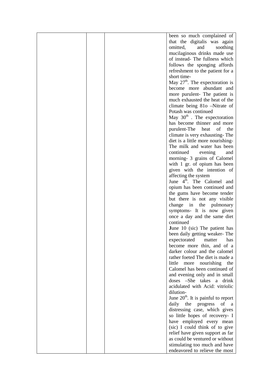|  | been so much complained of                                  |
|--|-------------------------------------------------------------|
|  | that the digitalis was again                                |
|  | omitted,<br>and<br>soothing                                 |
|  | mucilaginous drinks made use                                |
|  | of instead- The fullness which                              |
|  | follows the sponging affords                                |
|  | refreshment to the patient for a                            |
|  | short time-                                                 |
|  | May $27th$ . The expectoration is                           |
|  | become more abundant and                                    |
|  | more purulent- The patient is                               |
|  | much exhausted the heat of the                              |
|  | climate being 81o –Nitrate of                               |
|  | Potash was continued                                        |
|  | May 30 <sup>th</sup> . The expectoration                    |
|  | has become thinner and more                                 |
|  | purulent-The heat of<br>the                                 |
|  | climate is very exhausting-The                              |
|  | diet is a little more nourishing-                           |
|  | The milk and water has been                                 |
|  | continued<br>evening<br>and                                 |
|  | morning- 3 grains of Calomel                                |
|  | with 1 gr. of opium has been                                |
|  | given with the intention of                                 |
|  | affecting the system                                        |
|  | June 4 <sup>th</sup> . The Calomel and                      |
|  | opium has been continued and                                |
|  | the gums have become tender                                 |
|  | but there is not any visible                                |
|  | change in the pulmonary                                     |
|  | symptoms- It is now given                                   |
|  | once a day and the same diet                                |
|  | continued                                                   |
|  | <b>June 10 (sic)</b> The patient has                        |
|  | been daily getting weaker-The                               |
|  | expectorated matter<br>has                                  |
|  | become more thin, and of a<br>darker colour and the calomel |
|  | rather foeted The diet is made a                            |
|  | little<br>nourishing<br>the<br>more                         |
|  | Calomel has been continued of                               |
|  | and evening only and in small                               |
|  | doses -She takes a drink                                    |
|  | acidulated with Acid: vitriolic                             |
|  | dilution-                                                   |
|  | June $20th$ . It is painful to report                       |
|  | daily the progress<br>of<br>a a                             |
|  | distressing case, which gives                               |
|  | so little hopes of recovery- I                              |
|  | have employed every mean                                    |
|  | (sic) I could think of to give                              |
|  | relief have given support as far                            |
|  | as could be ventured or without                             |
|  | stimulating too much and have                               |
|  | endeavored to relieve the most                              |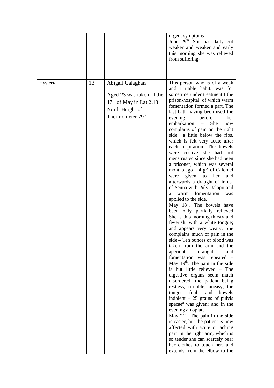|          |    |                                                                                                                  | urgent symptoms-<br>June 29 <sup>th.</sup> She has daily got<br>weaker and weaker and early<br>this morning she was relieved<br>from suffering-                                                                                                                                                                                                                                                                                                                                                                                                                                                                                                                                                                                                                                                                                                                                                                                                                                                                                                                                                                                                                                                                                                                                                                                                                                                                                                                                                                                                                                                                                                                   |
|----------|----|------------------------------------------------------------------------------------------------------------------|-------------------------------------------------------------------------------------------------------------------------------------------------------------------------------------------------------------------------------------------------------------------------------------------------------------------------------------------------------------------------------------------------------------------------------------------------------------------------------------------------------------------------------------------------------------------------------------------------------------------------------------------------------------------------------------------------------------------------------------------------------------------------------------------------------------------------------------------------------------------------------------------------------------------------------------------------------------------------------------------------------------------------------------------------------------------------------------------------------------------------------------------------------------------------------------------------------------------------------------------------------------------------------------------------------------------------------------------------------------------------------------------------------------------------------------------------------------------------------------------------------------------------------------------------------------------------------------------------------------------------------------------------------------------|
| Hysteria | 13 | Abigail Calaghan<br>Aged 23 was taken ill the<br>$17th$ of May in Lat 2.13<br>North Height of<br>Thermometer 79° | This person who is of a weak<br>and irritable habit, was for<br>sometime under treatment I the<br>prison-hospital, of which warm<br>fomentation formed a part. The<br>last bath having been used the<br>evening<br>before<br>her<br>embarkation<br>She<br>$\frac{1}{2}$<br>now<br>complains of pain on the right<br>side a little below the ribs,<br>which is felt very acute after<br>each inspiration. The bowels<br>were costive she had not<br>menstruated since she had been<br>a prisoner, which was several<br>months ago $-4$ gr <sup>s</sup> of Calomel<br>given to<br>her<br>were<br>and<br>afterwards a draught of infus <sup>n</sup><br>of Senna with Pulv: Jalapii and<br>fomentation<br>warm<br>was<br>a<br>applied to the side.<br>May 18 <sup>th</sup> . The bowels have<br>been only partially relieved<br>She is this morning thirsty and<br>feverish, with a white tongue;<br>and appears very weary. She<br>complains much of pain in the<br>side - Ten ounces of blood was<br>taken from the arm and the<br>aperient<br>draught<br>and<br>fomentation was repeated -<br>May 19 <sup>th</sup> . The pain in the side<br>is but little relieved - The<br>digestive organs seem much<br>disordered, the patient being<br>restless, irritable, uneasy, the<br>tongue foul, and bowels<br>indolent $-25$ grains of pulvis<br>specae <sup>a</sup> was given; and in the<br>evening an opiate. -<br>May $21st$ , The pain in the side<br>is easier, but the patient is now<br>affected with acute or aching<br>pain in the right arm, which is<br>so tender she can scarcely bear<br>her clothes to touch her, and<br>extends from the elbow to the |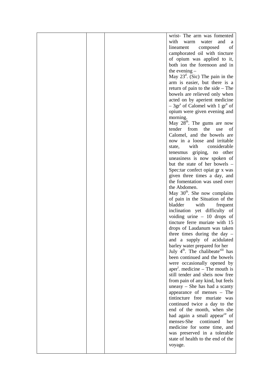|  | wrist- The arm was fomented                                                                |
|--|--------------------------------------------------------------------------------------------|
|  | with<br>warm<br>and<br>water<br>a                                                          |
|  | of<br>lineament<br>composed                                                                |
|  | camphorated oil with tincture                                                              |
|  | of opium was applied to it,                                                                |
|  | both ion the forenoon and in                                                               |
|  | the evening $-$                                                                            |
|  | May $23^d$ . (Sic) The pain in the                                                         |
|  | arm is easier, but there is a                                                              |
|  | return of pain to the side $-$ The                                                         |
|  | bowels are relieved only when                                                              |
|  | acted on by aperient medicine                                                              |
|  | $-3grs$ of Calomel with 1 gr <sup>n</sup> of                                               |
|  | opium were given evening and                                                               |
|  | morning.                                                                                   |
|  | May 28 <sup>th</sup> . The gums are now                                                    |
|  | tender from the<br>use<br>οf                                                               |
|  | Calomel, and the bowels are                                                                |
|  | now in a loose and irritable                                                               |
|  | with<br>considerable<br>state,                                                             |
|  | tenesmus griping, no other                                                                 |
|  | uneasiness is now spoken of                                                                |
|  | but the state of her bowels –                                                              |
|  | Spec: tar confect opiat gr x was                                                           |
|  | given three times a day, and                                                               |
|  | the fomentation was used over                                                              |
|  | the Abdomen.                                                                               |
|  | May $30th$ . She now complains                                                             |
|  | of pain in the Situation of the                                                            |
|  | bladder<br>with<br>frequent                                                                |
|  | inclination yet difficulty of                                                              |
|  | voiding urine $-10$ drops of                                                               |
|  | tincture ferre muriate with 15                                                             |
|  | drops of Laudanum was taken                                                                |
|  | three times during the day $-$                                                             |
|  | and a supply of acidulated                                                                 |
|  | barley water prepared for her                                                              |
|  | July 4 <sup>th</sup> . The chalibeate <sup>xiii</sup> has<br>been continued and the bowels |
|  |                                                                                            |
|  | were occasionally opened by<br>aper <sup>t</sup> . medicine – The mouth is                 |
|  | still tender and sheis now free                                                            |
|  | from pain of any kind, but feels                                                           |
|  | uneasy - She has had a scanty                                                              |
|  | appearance of menses – The                                                                 |
|  | tintincture free muriate was                                                               |
|  | continued twice a day to the                                                               |
|  | end of the month, when she                                                                 |
|  | had again a small appear <sup>ce</sup> of                                                  |
|  | menses-She<br>continued<br>her                                                             |
|  | medicine for some time, and                                                                |
|  | was preserved in a tolerable                                                               |
|  | state of health to the end of the                                                          |
|  | voyage.                                                                                    |
|  |                                                                                            |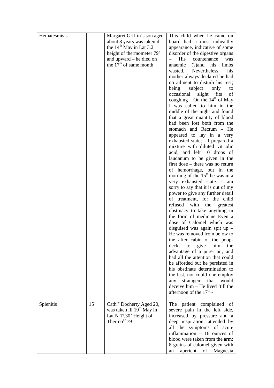| Hematesmisis |    | Margaret Griffin's son aged<br>about 8 years was taken ill<br>the $14th$ May in Lat 3.2<br>height of thermometer 79 <sup>o</sup>                | This child when he came on<br>board had a most unhealthy<br>appearance, indicative of some<br>disorder of the digestive organs                                                         |
|--------------|----|-------------------------------------------------------------------------------------------------------------------------------------------------|----------------------------------------------------------------------------------------------------------------------------------------------------------------------------------------|
|              |    | and upward – he died on<br>the $17th$ of same month                                                                                             | <b>His</b><br>countenance<br>was<br>anaemic<br>$(?)$ and his<br>limbs<br>wasted.<br>Nevertheless,<br>his                                                                               |
|              |    |                                                                                                                                                 | mother always declared he had<br>no ailment to disturb his rest;<br>being<br>subject<br>only<br>to<br>occasional<br>slight fits<br>of                                                  |
|              |    |                                                                                                                                                 | coughing – On the $14th$ of May<br>I was called to him in the<br>middle of the night and found                                                                                         |
|              |    |                                                                                                                                                 | that a great quantity of blood<br>had been lost both from the<br>stomach and Rectum - He                                                                                               |
|              |    |                                                                                                                                                 | appeared to lay in a very<br>exhausted state; - I prepared a<br>mixture with diluted vitriolic                                                                                         |
|              |    |                                                                                                                                                 | acid, and left 10 drops of<br>laudanum to be given in the<br>first dose – there was no return                                                                                          |
|              |    |                                                                                                                                                 | of hemorrhage, but in the<br>morning of the $15th$ he was in a<br>very exhausted state. I am<br>sorry to say that it is out of my                                                      |
|              |    |                                                                                                                                                 | power to give any further detail<br>of treatment, for the child<br>refused<br>with<br>the<br>greatest                                                                                  |
|              |    |                                                                                                                                                 | obstinacy to take anything in<br>the form of medicine Even a<br>dose of Calomel which was                                                                                              |
|              |    |                                                                                                                                                 | disguised was again spit up $-$<br>He was removed from below to<br>the after cabin of the poop-                                                                                        |
|              |    |                                                                                                                                                 | the<br>deck, to<br>give<br>him<br>advantage of a purer air, and<br>had all the attention that could                                                                                    |
|              |    |                                                                                                                                                 | be afforded but he persisted in<br>his obstinate determination to<br>the last, nor could one employ<br>any stratagem that<br>would                                                     |
|              |    |                                                                                                                                                 | deceive him - He lived 'till the<br>afternoon of the $17th$ -                                                                                                                          |
| Splenitis    | 15 | Cath <sup>ne</sup> Docherty Aged 20,<br>was taken ill 19 <sup>th</sup> May in<br>Lat N 1°.30' Height of<br>Thermo <sup>or</sup> 79 <sup>o</sup> | The patient complained of<br>severe pain in the left side,<br>increased by pressure and a<br>deep inspiration, attended by<br>all the symptoms of acute<br>inflammation - 16 ounces of |
|              |    |                                                                                                                                                 | blood were taken from the arm:<br>8 grains of calomel given with<br>aperient<br>of Magnesia<br>an                                                                                      |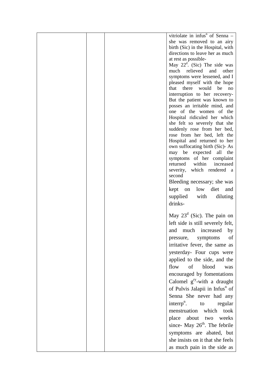| vitriolate in infus <sup>n</sup> of Senna -                |
|------------------------------------------------------------|
| she was removed to an airy                                 |
| birth (Sic) in the Hospital, with                          |
| directions to leave her as much                            |
| at rest as possible-                                       |
| May $22^d$ . (Sic) The side was<br>much relieved and       |
| other<br>symptoms were lessened, and I                     |
| pleased myself with the hope                               |
| there<br>would<br>be<br>that<br>no                         |
| interruption to her recovery-                              |
| But the patient was known to                               |
| posses an irritable mind, and                              |
| one of the women of the                                    |
| Hospital ridiculed her which                               |
| she felt so severely that she                              |
| suddenly rose from her bed,<br>rose from her bed, left the |
| Hospital and returned to her                               |
| own suffocating birth (Sic)-As                             |
| may be expected all the                                    |
| symptoms of her complaint                                  |
| within<br>returned<br>increased                            |
| severity, which rendered a                                 |
| second                                                     |
| Bleeding necessary; she was                                |
| kept on low diet<br>and                                    |
| supplied with<br>diluting                                  |
| drinks-                                                    |
|                                                            |
| May $23^d$ (Sic). The pain on                              |
| left side is still severely felt,                          |
| much increased<br>and<br>by                                |
| of<br>pressure, symptoms                                   |
| irritative fever, the same as                              |
| yesterday- Four cups were                                  |
| applied to the side, and the                               |
| of blood<br>flow<br>was                                    |
| encouraged by fomentations                                 |
| Calomel $g^{ry}$ -with a draught                           |
|                                                            |
| of Pulvis Jalapii in Infus <sup>n</sup> of                 |
| Senna She never had any                                    |
| interrp <sup>n</sup> . to<br>regular                       |
| menstruation which took                                    |
| place about two<br>weeks                                   |
| since- May $26th$ . The febrile                            |
|                                                            |
| symptoms are abated, but                                   |
| she insists on it that she feels                           |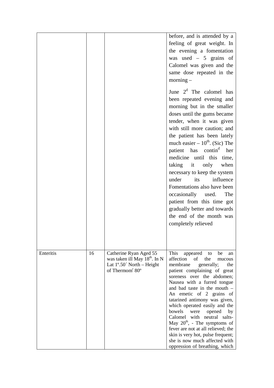|           |    |                                                                                                                                                                  | before, and is attended by a<br>feeling of great weight. In<br>the evening a fomentation<br>was used $-5$ grains of<br>Calomel was given and the<br>same dose repeated in the<br>$\text{morning} -$                                                                                                                                                                                                                                                                                                                                                                                           |
|-----------|----|------------------------------------------------------------------------------------------------------------------------------------------------------------------|-----------------------------------------------------------------------------------------------------------------------------------------------------------------------------------------------------------------------------------------------------------------------------------------------------------------------------------------------------------------------------------------------------------------------------------------------------------------------------------------------------------------------------------------------------------------------------------------------|
|           |    |                                                                                                                                                                  | June $2d$ The calomel has<br>been repeated evening and<br>morning but in the smaller<br>doses until the gums became<br>tender, when it was given<br>with still more caution; and<br>the patient has been lately<br>much easier $-10^{th}$ . (Sic) The<br>patient has contin <sup>d</sup> her<br>medicine until this time,<br>taking it only<br>when<br>necessary to keep the system<br>influence<br>under<br>its<br>Fomentations also have been<br>occasionally used.<br>The<br>patient from this time got<br>gradually better and towards<br>the end of the month was<br>completely relieved |
| Enteritis | 16 | Catherine Ryan Aged 55<br>was taken ill May 18 <sup>th</sup> . In N<br>Lat $1^{\circ}$ .50 $\check{ }$ North – Height<br>of Thermom <sup>r</sup> 80 <sup>°</sup> | This<br>appeared<br>to<br>be<br>an<br>affection<br>of<br>the<br>mucous<br>membrane<br>the<br>generally;<br>patient complaining of great<br>soreness over the abdomen;<br>Nausea with a furred tongue<br>and bad taste in the mouth -<br>An emetic of 2 grains of<br>tatarined antimony was given,<br>which operated easily and the<br>bowels<br>were<br>opened<br>by<br>Calomel with neutral salts-<br>May $20^{th}$ , - The symptoms of<br>fever are not at all relieved; the<br>skin is very hot, pulse frequent;<br>she is now much affected with<br>oppression of breathing, which        |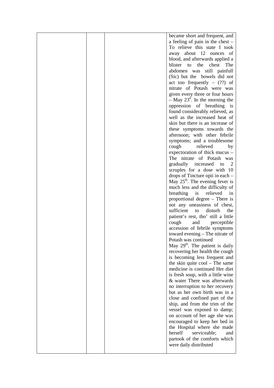|  | became short and frequent, and               |
|--|----------------------------------------------|
|  | a feeling of pain in the chest -             |
|  | To relieve this state I took                 |
|  | away about 12 ounces of                      |
|  |                                              |
|  | blood, and afterwards applied a              |
|  | blister to the<br>chest<br>The               |
|  | abdomen was still painfull                   |
|  | (Sic) but the bowels did not                 |
|  | act too frequently $-$ (??) of               |
|  | nitrate of Potash were was                   |
|  | given every three or four hours              |
|  | $-$ May 23 <sup>d</sup> . In the morning the |
|  | oppression of breathing is                   |
|  | found considerably relieved, as              |
|  | well as the increased heat of                |
|  | skin but there is an increase of             |
|  | these symptoms towards the                   |
|  | afternoon; with other febrile                |
|  |                                              |
|  | symptoms; and a troublesome<br>relieved      |
|  | cough<br>by                                  |
|  | expectoration of thick mucus –               |
|  | The nitrate of Potash was                    |
|  | gradually increased<br>2<br>to               |
|  | scruples for a dose with 10                  |
|  | drops of Tincture opii in each –             |
|  | May $25th$ . The evening fever is            |
|  | much less and the difficulty of              |
|  | breathing<br>relieved<br>is<br>1n            |
|  | proportional degree – There is               |
|  | not any uneasiness of chest,                 |
|  | sufficient<br>disturb<br>the<br>to           |
|  | patient's rest, tho' still a little          |
|  | cough<br>and<br>perceptible                  |
|  | accession of febrile symptoms                |
|  | toward evening – The nitrate of              |
|  | Potash was continued                         |
|  |                                              |
|  | May 29 <sup>th</sup> . The patient is daily  |
|  | recovering her health the cough              |
|  | is becoming less frequent and                |
|  | the skin quite $\text{cool}$ – The same      |
|  | medicine is continued Her diet               |
|  | is fresh soup, with a little wine            |
|  | & water There was afterwards                 |
|  | no interruption to her recovery              |
|  | but as her own birth was in a                |
|  | close and confined part of the               |
|  | ship, and from the trim of the               |
|  | vessel was exposed to damp;                  |
|  | on account of her age she was                |
|  | encouraged to keep her bed in                |
|  | the Hospital where she made                  |
|  | herself                                      |
|  | serviceable;<br>and                          |
|  | partook of the comforts which                |
|  | were daily distributed                       |
|  |                                              |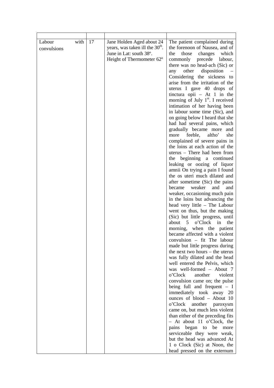| with<br>Labour<br>convulsions | 17 | Jane Holden Aged about 24<br>years, was taken ill the 30 <sup>th</sup> .<br>June in Lat: south 38°.<br>Height of Thermometer 62° | The patient complained during<br>the forenoon of Nausea, and of<br>the<br>those<br>changes<br>which<br>commonly<br>precede labour,<br>there was no head-ach (Sic) or<br>other<br>disposition<br>any<br>Considering the sickness to<br>arise from the irritation of the<br>uterus I gave 40 drops of<br>tinctura opii $-$ At 1 in the<br>morning of July $1st$ . I received<br>intimation of her having been<br>in labour some time (Sic), and<br>on going below I heard that she<br>had had several pains, which<br>gradually became more and<br>feeble,<br>altho'<br>she<br>more<br>complained of severe pains in<br>the loins at each action of the<br>uterus - There had been from<br>the beginning a continued<br>leaking or oozing of liquor<br>amnii On trying a pain I found<br>the os uteri much dilated and<br>after sometime (Sic) the pains<br>weaker<br>became<br>and<br>and<br>weaker, occasioning much pain<br>in the loins but advancing the<br>head very little - The Labour<br>went on thus, but the making<br>(Sic) but little progress, until<br>about 5<br>o'Clock<br>the<br>in<br>morning, when the patient<br>became affected with a violent<br>convulsion - fit The labour<br>made but little progress during<br>the next two hours – the uterus<br>was fully dilated and the head<br>well entered the Pelvis, which<br>was well-formed - About 7<br>o'Clock<br>another<br>violent<br>convulsion came on; the pulse<br>being full and frequent $- I$<br>immediately took away 20<br>ounces of blood - About 10<br>o'Clock<br>another paroxysm<br>came on, but much less violent<br>than either of the preceding fits<br>$-$ At about 11 o'Clock, the<br>began to be<br>more<br>pains |
|-------------------------------|----|----------------------------------------------------------------------------------------------------------------------------------|-------------------------------------------------------------------------------------------------------------------------------------------------------------------------------------------------------------------------------------------------------------------------------------------------------------------------------------------------------------------------------------------------------------------------------------------------------------------------------------------------------------------------------------------------------------------------------------------------------------------------------------------------------------------------------------------------------------------------------------------------------------------------------------------------------------------------------------------------------------------------------------------------------------------------------------------------------------------------------------------------------------------------------------------------------------------------------------------------------------------------------------------------------------------------------------------------------------------------------------------------------------------------------------------------------------------------------------------------------------------------------------------------------------------------------------------------------------------------------------------------------------------------------------------------------------------------------------------------------------------------------------------------------------------------------------------------------------|
|                               |    |                                                                                                                                  | serviceable they were weak,                                                                                                                                                                                                                                                                                                                                                                                                                                                                                                                                                                                                                                                                                                                                                                                                                                                                                                                                                                                                                                                                                                                                                                                                                                                                                                                                                                                                                                                                                                                                                                                                                                                                                 |
|                               |    |                                                                                                                                  | but the head was advanced At<br>1 o Clock (Sic) at Noon, the                                                                                                                                                                                                                                                                                                                                                                                                                                                                                                                                                                                                                                                                                                                                                                                                                                                                                                                                                                                                                                                                                                                                                                                                                                                                                                                                                                                                                                                                                                                                                                                                                                                |
|                               |    |                                                                                                                                  | head pressed on the externum                                                                                                                                                                                                                                                                                                                                                                                                                                                                                                                                                                                                                                                                                                                                                                                                                                                                                                                                                                                                                                                                                                                                                                                                                                                                                                                                                                                                                                                                                                                                                                                                                                                                                |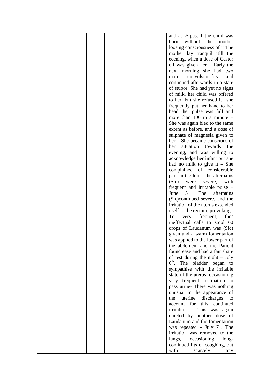|  | and at $\frac{1}{2}$ past 1 the child was      |
|--|------------------------------------------------|
|  | the<br>born<br>without<br>mother               |
|  | loosing consciousness of it The                |
|  | mother lay tranquil 'till the                  |
|  | ecening, when a dose of Castor                 |
|  | oil was given her - Early the                  |
|  | next morning she had two                       |
|  | convulsion-fits<br>and                         |
|  | more<br>continued afterwards in a state        |
|  |                                                |
|  | of stupor. She had yet no signs                |
|  | of milk, her child was offered                 |
|  | to her, but she refused it -she                |
|  | frequently put her hand to her                 |
|  | head; her pulse was full and                   |
|  | more than $100$ in a minute $-$                |
|  | She was again bled to the same                 |
|  | extent as before, and a dose of                |
|  | sulphate of magnesia given to                  |
|  | her – She became conscious of                  |
|  | the<br>situation<br>towards<br>her             |
|  | evening, and was willing to                    |
|  | acknowledge her infant but she                 |
|  | had no milk to give it $-$ She                 |
|  | complained of considerable                     |
|  | pain in the loins, the afterpains              |
|  | (Sic)<br>with<br>were<br>severe,               |
|  | frequent and irritable pulse –                 |
|  | $5^{\text{th}}$ .<br>June<br>The<br>afterpains |
|  | (Sic)continued severe, and the                 |
|  | irritation of the uterus extended              |
|  | itself to the rectum; provoking                |
|  | To<br>frequent,<br>tho'<br>very                |
|  | ineffectual calls to stool 60                  |
|  | drops of Laudanum was (Sic)                    |
|  | given and a warm fomentation                   |
|  | was applied to the lower part of               |
|  | the abdomen, and the Patient                   |
|  | found ease and had a fair share                |
|  | of rest during the night $-$ July              |
|  | 6 <sup>th</sup> . The bladder began to         |
|  | sympathise with the irritable                  |
|  | state of the uterus, occasioning               |
|  | very frequent inclination to                   |
|  | pass urine- There was nothing                  |
|  | unusual in the appearance of                   |
|  | uterine<br>discharges<br>the<br>to             |
|  | this<br>account<br>for<br>continued            |
|  | irritation - This was again                    |
|  | quieted by another dose of                     |
|  | Laudanum and the fomentation                   |
|  | was repeated - July $7th$ . The                |
|  | irritation was removed to the                  |
|  | occasioning<br>lungs,<br>long-                 |
|  | continued fits of coughing, but                |
|  | with<br>scarcely<br>any                        |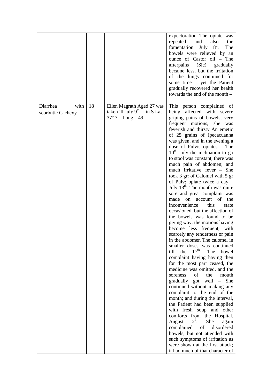|                                       |    |                                                                                            | expectoration The opiate was<br>repeated<br>and<br>also<br>the<br>$8^{\text{th}}$ .<br>fomentation<br>July<br>The<br>bowels were relieved by an<br>ounce of Castor oil - The<br>afterpains (Sic) gradually<br>became less, but the irritation<br>of the lungs continued for<br>some time - yet the Patient<br>gradually recovered her health<br>towards the end of the month -                                                                                                                                                                                                                                                                                                                                                                                                                                                                                                                                                                                                                                                                                                                                                                                                                                                                                                                                                                                                                                                                                                                               |
|---------------------------------------|----|--------------------------------------------------------------------------------------------|--------------------------------------------------------------------------------------------------------------------------------------------------------------------------------------------------------------------------------------------------------------------------------------------------------------------------------------------------------------------------------------------------------------------------------------------------------------------------------------------------------------------------------------------------------------------------------------------------------------------------------------------------------------------------------------------------------------------------------------------------------------------------------------------------------------------------------------------------------------------------------------------------------------------------------------------------------------------------------------------------------------------------------------------------------------------------------------------------------------------------------------------------------------------------------------------------------------------------------------------------------------------------------------------------------------------------------------------------------------------------------------------------------------------------------------------------------------------------------------------------------------|
| Diarrhea<br>with<br>scorbutic Cachexy | 18 | Ellen Magrath Aged 27 was<br>taken ill July $9th - in S$ Lat<br>$37^{\circ}.7 - Long - 49$ | This person complained of<br>being affected with severe<br>griping pains of bowels, very<br>frequent motions, she was<br>feverish and thirsty An emetic<br>of 25 grains of Ipecacuanha<br>was given, and in the evening a<br>dose of Pulvis opiates - The<br>$10th$ . July the inclination to go<br>to stool was constant, there was<br>much pain of abdomen; and<br>much irritative fever – She<br>took 3 gr: of Calomel with 5 gr<br>of Pulv: opiate twice a day -<br>July 13 <sup>th</sup> . The mouth was quite<br>sore and great complaint was<br>made<br>on<br>the<br>account<br>of<br>inconvenience<br>this<br>state<br>occasioned, but the affection of<br>the bowels was found to be<br>giving way; the motions having<br>become less frequent, with<br>scarcely any tenderness or pain<br>in the abdomen The calomel in<br>smaller doses was continued<br>$17^{\text{th}}$ -<br>the<br>The<br>bowel<br>till<br>complaint having having then<br>for the most part ceased, the<br>medicine was omitted, and the<br>of<br>the<br>mouth<br>soreness<br>$gradually$ got well $-$<br>She<br>continued without making any<br>complaint to the end of the<br>month; and during the interval,<br>the Patient had been supplied<br>with fresh soup and other<br>comforts from the Hospital.<br>$2^d$ .<br>She<br>August<br>again<br>complained<br>disordered<br>of<br>bowels; but not attended with<br>such symptoms of irritation as<br>were shown at the first attack;<br>it had much of that character of |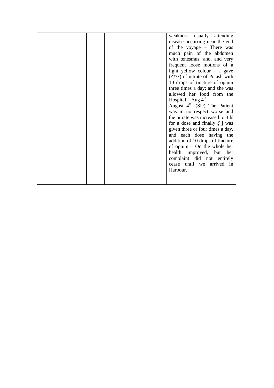|  | weakness usually attending           |
|--|--------------------------------------|
|  | disease occurring near the end       |
|  | of the voyage - There was            |
|  | much pain of the abdomen             |
|  | with tenesmus, and, and very         |
|  | frequent loose motions of a          |
|  | light yellow colour $- I$ gave       |
|  | (????) of nitrate of Potash with     |
|  | 10 drops of tincture of opium        |
|  | three times a day; and she was       |
|  | allowed her food from the            |
|  | Hospital – Aug $4th$                 |
|  | August $4th$ . (Sic) The Patient     |
|  | was in no respect worse and          |
|  | the nitrate was increased to 3 fs    |
|  | for a dose and finally $\zeta$ j was |
|  | given three or four times a day,     |
|  | and each dose having the             |
|  | addition of 10 drops of tincture     |
|  | of opium $-$ On the whole her        |
|  | health improved, but her             |
|  | complaint did not entirely           |
|  | cease until we arrived in            |
|  | Harbour.                             |
|  |                                      |
|  |                                      |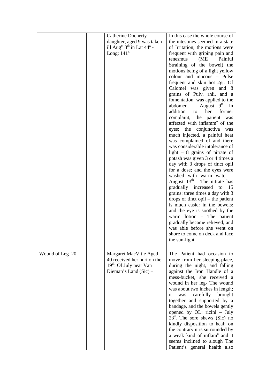|                 | <b>Catherine Docherty</b>                                                                                               | In this case the whole course of<br>the intestines seemed in a state                                                                                                                                                                                                                                                                                                                                                                                                                                                                                                                                                                                                                                                                                                                                                                                                                                                                                                                                                                                                 |
|-----------------|-------------------------------------------------------------------------------------------------------------------------|----------------------------------------------------------------------------------------------------------------------------------------------------------------------------------------------------------------------------------------------------------------------------------------------------------------------------------------------------------------------------------------------------------------------------------------------------------------------------------------------------------------------------------------------------------------------------------------------------------------------------------------------------------------------------------------------------------------------------------------------------------------------------------------------------------------------------------------------------------------------------------------------------------------------------------------------------------------------------------------------------------------------------------------------------------------------|
|                 | daughter, aged 9 was taken<br>ill Aug <sup>st 8th</sup> in Lat $44^{\circ}$ -<br>Long: $141^\circ$                      | of Irritation; the motions were<br>frequent with griping pain and<br>(ME)<br>Painful<br>tenesmus<br>Straining of the bowel) the<br>motions being of a light yellow<br>colour and mucous - Pulse<br>frequent and skin hot 2gr: Of<br>Calomel was given and 8<br>grains of Pulv. rhii, and a<br>fomentation was applied to the<br>abdomen. – August $9th$ . In<br>addition<br>former<br>to<br>her<br>complaint, the patient was<br>affected with inflamm <sup>n</sup> of the<br>eyes; the conjunctiva<br>was<br>much injected, a painful heat<br>was complained of and there<br>was considerable intolerance of<br>light $-8$ grains of nitrate of<br>potash was given 3 or 4 times a<br>day with 3 drops of tinct opii<br>for a dose; and the eyes were<br>washed with warm water -<br>August $13th$ . The nitrate has<br>gradually increased<br>15<br>to<br>grains: three times a day with 3<br>drops of tinct opii $-$ the patient<br>is much easier in the bowels:<br>and the eye is soothed by the<br>warm lotion - The patient<br>gradually became relieved, and |
|                 |                                                                                                                         | was able before she went on<br>shore to come on deck and face<br>the sun-light.                                                                                                                                                                                                                                                                                                                                                                                                                                                                                                                                                                                                                                                                                                                                                                                                                                                                                                                                                                                      |
| Wound of Leg 20 | Margaret MacVitie Aged<br>40 received her hurt on the<br>19 <sup>th</sup> . Of July near Van<br>Dieman's Land $(Sic)$ – | The Patient had occasion to<br>move from her sleeping-place,<br>during the night, and falling<br>against the Iron Handle of a<br>mess-bucket, she received a<br>wound in her leg- The wound<br>was about two inches in length;<br>carefully brought<br>it<br>was<br>together and supported by a<br>bandage, and the bowels gently<br>opened by OL: ricini - July<br>$23d$ . The sore shews (Sic) no<br>kindly disposition to heal; on<br>the contrary it is surrounded by<br>a weak kind of inflam <sup>n</sup> and it<br>seems inclined to slough The<br>Patient's general health also                                                                                                                                                                                                                                                                                                                                                                                                                                                                              |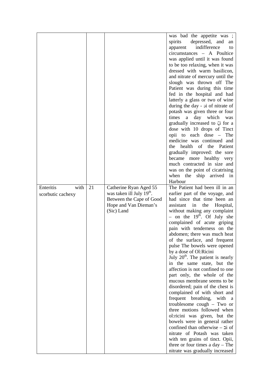|                                        |    |                                                                                                                                    | was bad the appetite was ;<br>depressed, and<br>spirits<br>an<br>indifference<br>apparent<br>to<br>circumstances - A Poultice<br>was applied until it was found<br>to be too relaxing, when it was<br>dressed with warm basilicon,<br>and nitrate of mercury until the<br>slough was thrown off The<br>Patient was during this time<br>fed in the hospital and had<br>latterly a glass or two of wine<br>during the day - oi of nitrate of<br>potash was given three or four<br>day which was<br>times<br>a<br>gradually increased to $\zeta$ for a<br>dose with 10 drops of Tinct<br>opii to each dose –<br>The<br>medicine was continued and<br>health<br>of the Patient<br>the<br>gradually improved: the sore<br>became more healthy very<br>much contracted in size and                                                                                                                                                                                                                     |
|----------------------------------------|----|------------------------------------------------------------------------------------------------------------------------------------|--------------------------------------------------------------------------------------------------------------------------------------------------------------------------------------------------------------------------------------------------------------------------------------------------------------------------------------------------------------------------------------------------------------------------------------------------------------------------------------------------------------------------------------------------------------------------------------------------------------------------------------------------------------------------------------------------------------------------------------------------------------------------------------------------------------------------------------------------------------------------------------------------------------------------------------------------------------------------------------------------|
|                                        |    |                                                                                                                                    | was on the point of cicatrising<br>when the<br>ship arrived in<br>Harbour                                                                                                                                                                                                                                                                                                                                                                                                                                                                                                                                                                                                                                                                                                                                                                                                                                                                                                                        |
| Enteritis<br>with<br>scorbutic cachexy | 21 | Catherine Ryan Aged 55<br>was taken ill July 19 <sup>th</sup> .<br>Between the Cape of Good<br>Hope and Van Dieman's<br>(Sic) Land | The Patient had been ill in an<br>earlier part of the voyage, and<br>had since that time been an<br>assistant<br>in<br>the<br>Hospital,<br>without making any complaint<br>- on the $19th$ . Of July she<br>complained of acute griping<br>pain with tenderness on the<br>abdomen; there was much heat<br>of the surface, and frequent<br>pulse The bowels were opened<br>by a dose of Ol:Ricini<br>July $20th$ . The patient is nearly<br>in the same state, but the<br>affection is not confined to one<br>part only, the whole of the<br>mucous membrane seems to be<br>disordered; pain of the chest is<br>complained of with short and<br>frequent breathing,<br>with<br>a a<br>troublesome cough $-$ Two or<br>three motions followed when<br>ol:ricini was given, but the<br>bowels were in general rather<br>confined than otherwise $-$ 2i of<br>nitrate of Potash was taken<br>with ten grains of tinct. Opii,<br>three or four times a $day - The$<br>nitrate was gradually increased |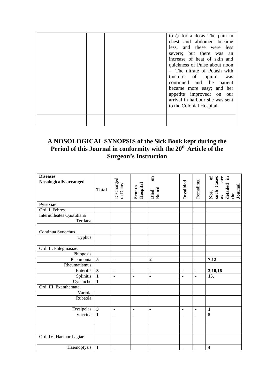|  | to $\zeta$ i for a dosis The pain in<br>chest and abdomen became<br>less, and these were less<br>severe; but there was an<br>increase of heat of skin and<br>quickness of Pulse about noon<br>- The nitrate of Potash with<br>tincture of opium was<br>continued and the patient<br>became more easy; and her<br>appetite improved; on our<br>arrival in harbour she was sent<br>to the Colonial Hospital. |
|--|------------------------------------------------------------------------------------------------------------------------------------------------------------------------------------------------------------------------------------------------------------------------------------------------------------------------------------------------------------------------------------------------------------|
|  |                                                                                                                                                                                                                                                                                                                                                                                                            |

### **A NOSOLOGICAL SYNOPSIS of the Sick Book kept during the Period of this Journal in conformity with the 20th Article of the Surgeon's Instruction**

| <b>Diseases</b>           |              |                |                     | $\overline{\mathbf{5}}$ |                              |                |                                                                  |
|---------------------------|--------------|----------------|---------------------|-------------------------|------------------------------|----------------|------------------------------------------------------------------|
| Nosologically arranged    |              | Discharged     |                     |                         |                              |                |                                                                  |
|                           | <b>Total</b> |                |                     |                         |                              |                |                                                                  |
|                           |              | to Dutuy       | Sent to<br>Hospital | Died<br>Board           | Invalided                    | Remaiimg       | Nos, of<br>such Cases<br>as are<br>detailed in<br>Journal<br>the |
| Pyrexiae                  |              |                |                     |                         |                              |                |                                                                  |
| Ord. I. Febres.           |              |                |                     |                         |                              |                |                                                                  |
| Internulleates Quotutiana |              |                |                     |                         |                              |                |                                                                  |
| Tertiana                  |              |                |                     |                         |                              |                |                                                                  |
|                           |              |                |                     |                         |                              |                |                                                                  |
| Continua Synochus         |              |                |                     |                         |                              |                |                                                                  |
| Typhus                    |              |                |                     |                         |                              |                |                                                                  |
|                           |              |                |                     |                         |                              |                |                                                                  |
| Ord. II. Phlegmasiae.     |              |                |                     |                         |                              |                |                                                                  |
| Phlogosis                 |              |                |                     |                         |                              |                |                                                                  |
| Pneumonia                 | 5            | $\blacksquare$ | $\blacksquare$      | $\overline{2}$          | ä,                           | $\blacksquare$ | 7.12                                                             |
| Rheumatismus              |              |                |                     |                         |                              |                |                                                                  |
| Enteritis                 | $\mathbf{3}$ | ä,             | $\blacksquare$      | $\blacksquare$          | $\blacksquare$               | $\blacksquare$ | 3,10,16                                                          |
| Splinitis                 | $\mathbf{1}$ | $\blacksquare$ | $\blacksquare$      | $\blacksquare$          | $\qquad \qquad \blacksquare$ | $\blacksquare$ | 15,                                                              |
| Cynanche                  | $\mathbf{1}$ |                |                     |                         |                              |                |                                                                  |
| Ord. III. Exanthemata.    |              |                |                     |                         |                              |                |                                                                  |
| Variola                   |              |                |                     |                         |                              |                |                                                                  |
| Rubeola                   |              |                |                     |                         |                              |                |                                                                  |
|                           |              |                |                     |                         |                              |                |                                                                  |
| Erysipelas                | $\mathbf{3}$ | $\blacksquare$ | $\blacksquare$      | $\blacksquare$          | $\frac{1}{2}$                | $\blacksquare$ | $\mathbf{1}$                                                     |
| Vaccina                   | $\mathbf{1}$ | $\blacksquare$ | $\blacksquare$      | $\blacksquare$          | $\blacksquare$               | $\blacksquare$ | $\overline{5}$                                                   |
|                           |              |                |                     |                         |                              |                |                                                                  |
|                           |              |                |                     |                         |                              |                |                                                                  |
| Ord. IV. Haemorrhagiae    |              |                |                     |                         |                              |                |                                                                  |
| Haemoptysis               | $\mathbf{1}$ | $\blacksquare$ | $\blacksquare$      | $\blacksquare$          | $\blacksquare$               | $\blacksquare$ | $\overline{\mathbf{4}}$                                          |
|                           |              |                |                     |                         |                              |                |                                                                  |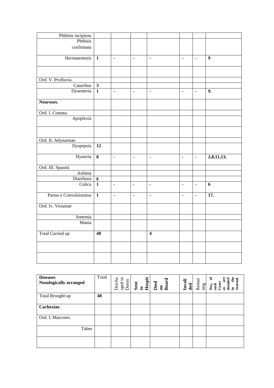| Phthisis incipiens      |                 |                |                |                |                |                |                   |
|-------------------------|-----------------|----------------|----------------|----------------|----------------|----------------|-------------------|
| Phthisis                |                 |                |                |                |                |                |                   |
| cosfirmata              |                 |                |                |                |                |                |                   |
|                         |                 |                |                |                |                |                |                   |
| Hermatemesis            | $\overline{1}$  | $\blacksquare$ | $\blacksquare$ | $\blacksquare$ |                | $\blacksquare$ | $\overline{9}$    |
|                         |                 |                |                |                | $\blacksquare$ |                |                   |
|                         |                 |                |                |                |                |                |                   |
|                         |                 |                |                |                |                |                |                   |
|                         |                 |                |                |                |                |                |                   |
| Ord. V. Profluvia.      |                 |                |                |                |                |                |                   |
| Catarrhus               | $\mathbf{3}$    |                |                |                |                |                |                   |
| Dysenteria              | $\mathbf{1}$    | $\blacksquare$ | ä,             | ä,             | ä,             | $\blacksquare$ | $\overline{9}$ .  |
|                         |                 |                |                |                |                |                |                   |
| Neuroses.               |                 |                |                |                |                |                |                   |
|                         |                 |                |                |                |                |                |                   |
| Ord. I. Comata.         |                 |                |                |                |                |                |                   |
| Apoplexia               |                 |                |                |                |                |                |                   |
|                         |                 |                |                |                |                |                |                   |
|                         |                 |                |                |                |                |                |                   |
|                         |                 |                |                |                |                |                |                   |
|                         |                 |                |                |                |                |                |                   |
| Ord. II. Adynamiae.     |                 |                |                |                |                |                |                   |
| Dyspepsia               | $\overline{12}$ |                |                |                |                |                |                   |
|                         |                 |                |                |                |                |                |                   |
| Hysteria                | $\bf{8}$        | $\blacksquare$ | $\blacksquare$ | $\blacksquare$ | $\blacksquare$ | $\blacksquare$ | 2,8,11,13,        |
|                         |                 |                |                |                |                |                |                   |
| Ord. III. Spasmi.       |                 |                |                |                |                |                |                   |
| Asthma                  |                 |                |                |                |                |                |                   |
| Diarrhoea               | $\overline{6}$  |                |                |                |                |                |                   |
| Colica                  | $\mathbf{1}$    | $\blacksquare$ | $\blacksquare$ | $\blacksquare$ | $\blacksquare$ | $\blacksquare$ | 6                 |
|                         |                 |                |                |                |                |                |                   |
| Partus e Convulsionitus | $\overline{1}$  | ä,             | ä,             | ä,             | $\blacksquare$ | $\blacksquare$ | $\overline{17}$ . |
|                         |                 |                |                |                |                |                |                   |
| Ord. Iv. Vesaniae       |                 |                |                |                |                |                |                   |
|                         |                 |                |                |                |                |                |                   |
| Amentia                 |                 |                |                |                |                |                |                   |
|                         |                 |                |                |                |                |                |                   |
| Mania                   |                 |                |                |                |                |                |                   |
|                         |                 |                |                |                |                |                |                   |
| <b>Total Carried up</b> | 48              |                |                | $\overline{4}$ |                |                |                   |
|                         |                 |                |                |                |                |                |                   |
|                         |                 |                |                |                |                |                |                   |
|                         |                 |                |                |                |                |                |                   |
|                         |                 |                |                |                |                |                |                   |
|                         |                 |                |                |                |                |                |                   |

| <b>Diseases</b><br>Nosologically arranged | Total | Discha<br>$\begin{array}{c}\n\text{reg to} \\ \hline\n\text{Dutuy}\n\end{array}$ | Sent<br>to<br>Hospit | Board<br>Died<br>$\overline{\mathbf{e}}$ | Invali<br>ded | Remai<br>$\lim g$ | ัธ<br>Journal<br>detailed<br>Cases<br>Nos,<br>such<br>$\overline{a}$<br>æ |
|-------------------------------------------|-------|----------------------------------------------------------------------------------|----------------------|------------------------------------------|---------------|-------------------|---------------------------------------------------------------------------|
| Total Brought up                          | 48    |                                                                                  |                      |                                          |               |                   |                                                                           |
| Cachexiae.                                |       |                                                                                  |                      |                                          |               |                   |                                                                           |
| Ord. I. Marcores.                         |       |                                                                                  |                      |                                          |               |                   |                                                                           |
| Tabes                                     |       |                                                                                  |                      |                                          |               |                   |                                                                           |
|                                           |       |                                                                                  |                      |                                          |               |                   |                                                                           |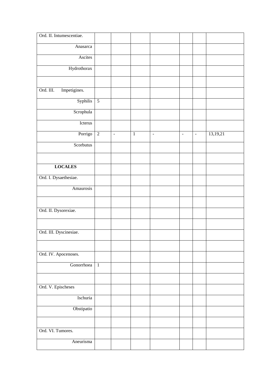| Ord. II. Intumescentiae.  |                |                     |              |                          |                          |                          |          |
|---------------------------|----------------|---------------------|--------------|--------------------------|--------------------------|--------------------------|----------|
| Anasarca                  |                |                     |              |                          |                          |                          |          |
| Ascites                   |                |                     |              |                          |                          |                          |          |
| Hydrothorax               |                |                     |              |                          |                          |                          |          |
|                           |                |                     |              |                          |                          |                          |          |
| Ord. III.<br>Impetigines. |                |                     |              |                          |                          |                          |          |
| Syphilis                  | $\overline{5}$ |                     |              |                          |                          |                          |          |
| Scrophula                 |                |                     |              |                          |                          |                          |          |
| Icterus                   |                |                     |              |                          |                          |                          |          |
| Porrigo                   | $\overline{2}$ | $\bar{\phantom{a}}$ | $\mathbf{1}$ | $\overline{\phantom{a}}$ | $\overline{\phantom{a}}$ | $\overline{\phantom{a}}$ | 13,19,21 |
| Scorbutus                 |                |                     |              |                          |                          |                          |          |
|                           |                |                     |              |                          |                          |                          |          |
| <b>LOCALES</b>            |                |                     |              |                          |                          |                          |          |
| Ord. I. Dysaethesiae.     |                |                     |              |                          |                          |                          |          |
| Amaurosis                 |                |                     |              |                          |                          |                          |          |
|                           |                |                     |              |                          |                          |                          |          |
| Ord. II. Dysorexiae.      |                |                     |              |                          |                          |                          |          |
|                           |                |                     |              |                          |                          |                          |          |
| Ord. III. Dyscinesiae.    |                |                     |              |                          |                          |                          |          |
|                           |                |                     |              |                          |                          |                          |          |
| Ord. IV. Apocenoses.      |                |                     |              |                          |                          |                          |          |
| Gonorrhoea                | $\overline{1}$ |                     |              |                          |                          |                          |          |
|                           |                |                     |              |                          |                          |                          |          |
| Ord. V. Epischeses        |                |                     |              |                          |                          |                          |          |
| Ischuria                  |                |                     |              |                          |                          |                          |          |
| Obstipatio                |                |                     |              |                          |                          |                          |          |
|                           |                |                     |              |                          |                          |                          |          |
| Ord. VI. Tumores.         |                |                     |              |                          |                          |                          |          |
| Aneurisma                 |                |                     |              |                          |                          |                          |          |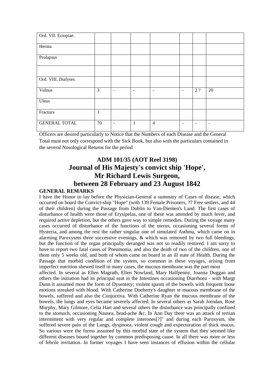| Ord. VII. Ectopiae.  |    |   |   |                          |                          |                          |                          |
|----------------------|----|---|---|--------------------------|--------------------------|--------------------------|--------------------------|
| Hernia               |    |   |   |                          |                          |                          |                          |
| Prolapsus            |    |   |   |                          |                          |                          |                          |
|                      |    |   |   |                          |                          |                          |                          |
| Ord. VIII. Dialyses. |    |   |   |                          |                          |                          |                          |
| Vulnus               | 3  | - | - | $\overline{\phantom{0}}$ |                          | 2?                       | 20                       |
| Uleus                |    |   |   |                          |                          |                          |                          |
| Fractura             | 1  |   |   |                          |                          |                          |                          |
| <b>GENERAL TOTAL</b> | 70 | ۰ | 1 | $\overline{4}$           | $\overline{\phantom{0}}$ | $\overline{\phantom{a}}$ | $\overline{\phantom{a}}$ |

Officers are desired particularly to Notice that the Numbers of each Disease and the General Total must not only correspond with the Sick Book, but also with the particulars contained in the several Nosological Returns for the period

### **ADM 101/35 (AOT Reel 3198) Journal of His Majesty's convict ship 'Hope', Mr Richard Lewis Surgeon, between 28 February and 23 August 1842**

#### **GENERAL REMARKS**

I have the Honor to lay before the Physician-General a summary of Cases of disease, which occurred on board the Convict-ship "Hope" (with 139 Female Prisoners, ?7 Free settlers, and 44 of their children) during the Passage from Dublin to Van-Diemen's Land. The first cases of disturbance of health were those of Erysipelas, one of these was attended by much fever, and required active depletion, but the others gave way to simple remedies. During the voyage many cases occurred of disturbance of the functions of the uterus, occasioning several forms of Hysteria, and among the rest the rather singular one of simulated Asthma, which came on in alarming Paroxysms three successive evenings, & which was removed by two full bleedings, but the function of the organ principally deranged was not so readily restored. I am sorry to have to report two fatal cases of Pneumonia, and also the death of two of the children, one of them only 5 weeks old, and both of whom came on board in an ill state of Health. During the Passage that morbid condition of the system, so common in these voyages, arising from imperfect nutrition shewed itself in many cases, the mucous membrane was the part most

affected. In several as Ellen Magrath, Ellen Nowland, Mary Halfpenny, Joanna Duggan and others the initiation had its principal seat in the Intestines occasioning Diarrhoea - with Margt Dunn it assumed most the form of Dysentery; violent spasm of the bowels with frequent loose motions streaked with blood. With Catherine Doeherty's daughter te mucous membrane of the bowels, suffered and also the Conjuctiva. With Catherine Ryan the mucous membrane of the bowels, the lungs and eyes became severely affected. In several others as Sarah Jorndan, Rose Murphy, Mary Gilmore, Celia Hart and several others the disturbance was principally confined to the stomach, occasioning Nausea, head-ache &c. In Ann Day there was an attack of tertian intermittent with very regular and complete interones[?]" and during each Paroxysm, she suffered severe pain of the Lungs, dyspnoea, violent cough and expectoration of thick mucus. So various were the forms assumed by this morbid state of the system that they seemed like different diseases bound together by common predisposing cause. In all there was more or less of febrile invitation. In former voyages I have seen instances of effusion within the cellular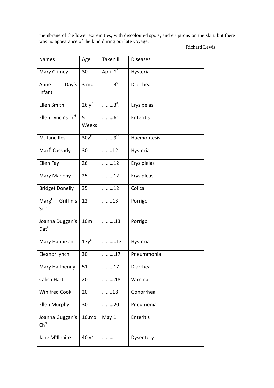membrane of the lower extremities, with discoloured spots, and eruptions on the skin, but there was no appearance of the kind during our late voyage.

Richard Lewis

| <b>Names</b>                        | Age               | Taken ill                              | <b>Diseases</b> |
|-------------------------------------|-------------------|----------------------------------------|-----------------|
| Mary Crimey                         | 30                | April 2 <sup>d</sup>                   | Hysteria        |
| Day's<br>Anne<br>Infant             | 3 mo              | $-\cdots$ 3 <sup>d</sup>               | Diarrhea        |
| <b>Ellen Smith</b>                  | $26y^{r}$         | $\ldots$ $3d$ .                        | Erysipelas      |
| Ellen Lynch's Inf <sup>t</sup>      | 5<br>Weeks        | $\ldots \ldots \ldots 6^{\text{th}}$ . | Enteritis       |
| M. Jane Iles                        | 30y <sup>r</sup>  | $9th$ .                                | Haemoptesis     |
| Marf <sup>t</sup> Cassady           | 30                | 12                                     | Hysteria        |
| Ellen Fay                           | 26                | 12                                     | Erysiplelas     |
| Mary Mahony                         | 25                | 12                                     | Erysipleas      |
| <b>Bridget Donelly</b>              | 35                | 12                                     | Colica          |
| $Marg^t$<br>Griffin's<br>Son        | 12                | 13                                     | Porrigo         |
| Joanna Duggan's<br>$\mathsf{Dat}^r$ | 10 <sub>m</sub>   | 13                                     | Porrigo         |
| Mary Hannikan                       | $17y^s$           | 13                                     | Hysteria        |
| Eleanor lynch                       | 30                | 17                                     | Pneummonia      |
| Mary Halfpenny                      | 51                | 17                                     | Diarrhea        |
| Calica Hart                         | 20                | 18                                     | Vaccina         |
| <b>Winifred Cook</b>                | 20                | 18                                     | Gonorrhea       |
| Ellen Murphy                        | 30                | 20                                     | Pneumonia       |
| Joanna Guggan's<br>$Ch^d$           | 10.mo             | May 1                                  | Enteritis       |
| Jane M <sup>c</sup> Ilhaire         | 40 y <sup>s</sup> |                                        | Dysentery       |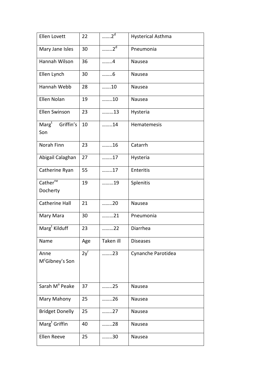| Ellen Lovett                                   | 22       | $\overline{2^d}$ | <b>Hysterical Asthma</b> |
|------------------------------------------------|----------|------------------|--------------------------|
| Mary Jane Isles                                | 30       | $\ldots$ $2^d$   | Pneumonia                |
| Hannah Wilson                                  | 36       | 4                | Nausea                   |
| Ellen Lynch                                    | 30       | 6                | Nausea                   |
| Hannah Webb                                    | 28       | 10               | Nausea                   |
| Ellen Nolan                                    | 19       | 10               | Nausea                   |
| Ellen Swinson                                  | 23       | 13               | Hysteria                 |
| $\mathsf{Marg}^\mathsf{t}$<br>Griffin's<br>Son | 10       | 14               | Hematemesis              |
| Norah Finn                                     | 23       | 16               | Catarrh                  |
| Abigail Calaghan                               | 27       | 17               | Hysteria                 |
| Catherine Ryan                                 | 55       | 17               | Enteritis                |
| Cather <sup>ne</sup><br>Docherty               | 19       | 19               | Splenitis                |
| <b>Catherine Hall</b>                          | 21       | 20               | Nausea                   |
| Mary Mara                                      | 30       | 21               | Pneumonia                |
| Marg <sup>t</sup> Kilduff                      | 23       | 22               | Diarrhea                 |
| Name                                           | Age      | Taken ill        | <b>Diseases</b>          |
| Anne<br>M <sup>c</sup> Gibney's Son            | $2y^{r}$ | 23               | Cynanche Parotidea       |
| Sarah M <sup>ª</sup> Peake                     | 37       | 25               | Nausea                   |
| Mary Mahony                                    | 25       | 26               | Nausea                   |
| <b>Bridget Donelly</b>                         | 25       | 27               | Nausea                   |
| Marg <sup>t</sup> Griffin                      | 40       | 28               | Nausea                   |
| Ellen Reeve                                    | 25       | 30               | Nausea                   |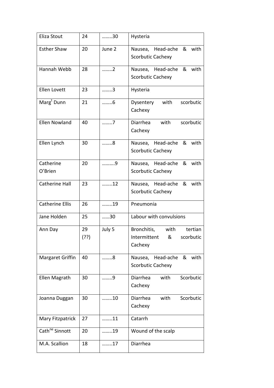| Eliza Stout                | 24        | 30     | Hysteria                                                                    |
|----------------------------|-----------|--------|-----------------------------------------------------------------------------|
| <b>Esther Shaw</b>         | 20        | June 2 | Nausea, Head-ache<br>&<br>with<br><b>Scorbutic Cachexy</b>                  |
| Hannah Webb                | 28        | 2      | Nausea, Head-ache<br>with<br>&<br><b>Scorbutic Cachexy</b>                  |
| <b>Ellen Lovett</b>        | 23        | 3      | Hysteria                                                                    |
| Marg <sup>t</sup> Dunn     | 21        | 6      | Dysentery with<br>scorbutic<br>Cachexy                                      |
| Ellen Nowland              | 40        | 7      | Diarrhea<br>with<br>scorbutic<br>Cachexy                                    |
| Ellen Lynch                | 30        | 8      | Nausea, Head-ache<br>&<br>with<br>Scorbutic Cachexy                         |
| Catherine<br>O'Brien       | 20        | 9      | with<br>Nausea, Head-ache<br>&<br><b>Scorbutic Cachexy</b>                  |
| Catherine Hall             | 23        | 12     | Nausea, Head-ache<br>& with<br>Scorbutic Cachexy                            |
| <b>Catherine Ellis</b>     | 26        | 19     | Pneumonia                                                                   |
| Jane Holden                | 25        | 30     | Labour with convulsions                                                     |
| Ann Day                    | 29<br>(?) | July 5 | Bronchitis,<br>with<br>tertian<br>Intermittent<br>&<br>scorbutic<br>Cachexy |
| Margaret Griffin           | 40        | 8      | with<br>Head-ache<br>&<br>Nausea,<br><b>Scorbutic Cachexy</b>               |
| Ellen Magrath              | 30        | 9      | Diarrhea<br>with<br>Scorbutic<br>Cachexy                                    |
| Joanna Duggan              | 30        | 10     | Diarrhea<br>Scorbutic<br>with<br>Cachexy                                    |
| Mary Fitzpatrick           | 27        | 11     | Catarrh                                                                     |
| Cath <sup>ne</sup> Sinnott | 20        | 19     | Wound of the scalp                                                          |
| M.A. Scallion              | 18        | 17     | Diarrhea                                                                    |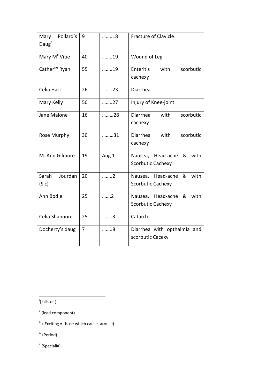| Pollard's<br>Mary<br>Daug <sup>r</sup> | 9  | 18    | <b>Fracture of Clavicle</b>                                |
|----------------------------------------|----|-------|------------------------------------------------------------|
| Mary M <sup>c</sup> Vitie              | 40 | 19    | Wound of Leg                                               |
| Cather <sup>ne</sup> Ryan              | 55 | 19    | Enteritis<br>with<br>scorbutic<br>cachexy                  |
| Celia Hart                             | 26 | 23    | Diarrhea                                                   |
| Mary Kelly                             | 50 | 27    | Injury of Knee-joint                                       |
| Jane Malone                            | 16 | 28    | <b>Diarrhea</b><br>with<br>scorbutic<br>cachexy            |
| Rose Murphy                            | 30 | 31    | Diarrhea<br>with<br>scorbutic<br>cachexy                   |
| M. Ann Gilmore                         | 19 | Aug 1 | with<br>Nausea, Head-ache<br>&<br>Scorbutic Cachexy        |
| Sarah<br>Jourdan<br>(Sic)              | 20 | 2     | Nausea, Head-ache<br>with<br>&<br><b>Scorbutic Cachexy</b> |
| Ann Bodle                              | 25 | 2     | with<br>Nausea, Head-ache &<br>Scorbutic Cachexy           |
| Celia Shannon                          | 25 | 3     | Catarrh                                                    |
| Docherty's daug <sup>r</sup>           | 7  | 8     | Diarrhea with opthalmia and<br>scorbutic Cacexy            |

i ( blister )

v (Specialia)

ii (lead component)

 $\ddot{ii}$  ( Exciting = those which cause, arouse)

iv (Period)